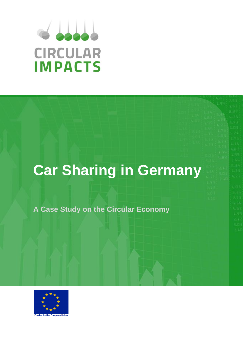

# **Car Sharing in Germany**

**A Case Study on the Circular Economy**



**Funded by the Fu**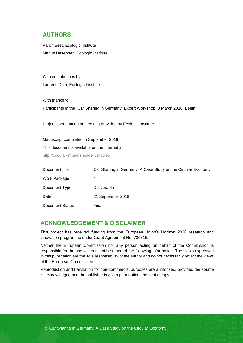### **AUTHORS**

Aaron Best, Ecologic Institute Marius Hasenheit, Ecologic Institute

With contributions by: Laurens Duin, Ecologic Institute

With thanks to: Participants in the "Car Sharing in Germany" Expert Workshop, 8 March 2018, Berlin

Project coordination and editing provided by Ecologic Institute.

Manuscript completed in September 2018 This document is available on the Internet at: <http://circular-impacts.eu/deliverables>

| Document title         | Car Sharing in Germany: A Case Study on the Circular Economy |
|------------------------|--------------------------------------------------------------|
| Work Package           | 4                                                            |
| Document Type          | Deliverable                                                  |
| Date                   | 21 September 2018                                            |
| <b>Document Status</b> | Final                                                        |

### **ACKNOWLEDGEMENT & DISCLAIMER**

This project has received funding from the European Union's Horizon 2020 research and innovation programme under Grant Agreement No. 730316.

Neither the European Commission nor any person acting on behalf of the Commission is responsible for the use which might be made of the following information. The views expressed in this publication are the sole responsibility of the author and do not necessarily reflect the views of the European Commission.

Reproduction and translation for non-commercial purposes are authorized, provided the source is acknowledged and the publisher is given prior notice and sent a copy.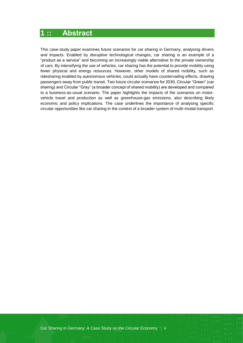### <span id="page-3-0"></span>**1 :: Abstract**

This case-study paper examines future scenarios for car sharing in Germany, analysing drivers and impacts. Enabled by disruptive technological changes, car sharing is an example of a "product as a service" and becoming an increasingly viable alternative to the private ownership of cars. By intensifying the use of vehicles, car sharing has the potential to provide mobility using fewer physical and energy resources. However, other models of shared mobility, such as ridesharing enabled by autonomous vehicles, could actually have countervailing effects, drawing passengers away from public transit. Two future circular scenarios for 2030, Circular "Green" (car sharing) and Circular "Gray" (a broader concept of shared mobility) are developed and compared to a business-as-usual scenario. The paper highlights the impacts of the scenarios on motorvehicle travel and production as well as greenhouse-gas emissions, also describing likely economic and policy implications. The case underlines the importance of analysing specific circular opportunities like car sharing in the context of a broader system of multi-modal transport.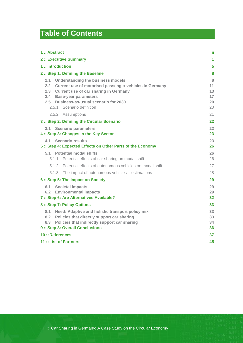# **Table of Contents**

| 1:: Abstract                                                                                                                                                                                                                                            | ii.                  |
|---------------------------------------------------------------------------------------------------------------------------------------------------------------------------------------------------------------------------------------------------------|----------------------|
| 2 :: Executive Summary                                                                                                                                                                                                                                  | 1                    |
| $1::$ Introduction                                                                                                                                                                                                                                      | 5                    |
| 2 :: Step 1: Defining the Baseline                                                                                                                                                                                                                      | 8                    |
| Understanding the business models<br>2.1<br>2.2 Current use of motorised passenger vehicles in Germany<br>2.3 Current use of car sharing in Germany<br>2.4 Base-year parameters<br>2.5 Business-as-usual scenario for 2030<br>2.5.1 Scenario definition |                      |
| 2.5.2 Assumptions                                                                                                                                                                                                                                       | 21                   |
| 3 :: Step 2: Defining the Circular Scenario                                                                                                                                                                                                             | 22                   |
| 3.1<br><b>Scenario parameters</b><br>4 :: Step 3: Changes in the Key Sector                                                                                                                                                                             | 22<br>23             |
| 4.1 Scenario results<br>5 :: Step 4: Expected Effects on Other Parts of the Economy                                                                                                                                                                     | 23<br>26             |
| <b>Potential modal shifts</b><br>$5.1 -$<br>5.1.1 Potential effects of car sharing on modal shift<br>5.1.2 Potential effects of autonomous vehicles on modal shift                                                                                      | 26<br>26<br>27       |
| 5.1.3 The impact of autonomous vehicles – estimations                                                                                                                                                                                                   | 28                   |
| 6 :: Step 5: The Impact on Society<br><b>6.1 Societal impacts</b><br><b>6.2 Environmental impacts</b><br>7 :: Step 6: Are Alternatives Available?                                                                                                       | 29<br>29<br>29<br>32 |
| 8 :: Step 7: Policy Options                                                                                                                                                                                                                             | 33                   |
| Need: Adaptive and holistic transport policy mix<br>8.1<br>Policies that directly support car sharing<br>8.2<br>8.3<br>Policies that indirectly support car sharing<br>9 :: Step 8: Overall Conclusions                                                 |                      |
| 10:: References                                                                                                                                                                                                                                         | 37                   |
| 11: List of Partners                                                                                                                                                                                                                                    | 45                   |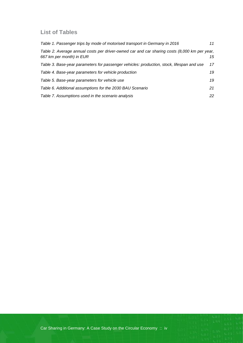### **List of Tables**

| Table 1. Passenger trips by mode of motorised transport in Germany in 2016                                               | 11 |
|--------------------------------------------------------------------------------------------------------------------------|----|
| Table 2. Average annual costs per driver-owned car and car sharing costs (8,000 km per year,<br>667 km per month) in EUR | 15 |
| Table 3. Base-year parameters for passenger vehicles: production, stock, lifespan and use                                | 17 |
| Table 4. Base-year parameters for vehicle production                                                                     | 19 |
| Table 5. Base-year parameters for vehicle use                                                                            | 19 |
| Table 6. Additional assumptions for the 2030 BAU Scenario                                                                | 21 |
| Table 7. Assumptions used in the scenario analysis                                                                       | 22 |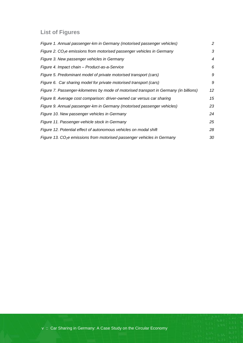# **List of Figures**

| Figure 1. Annual passenger-km in Germany (motorised passenger vehicles)                | 2               |
|----------------------------------------------------------------------------------------|-----------------|
| Figure 2. CO <sub>2</sub> e emissions from motorised passenger vehicles in Germany     | 3               |
| Figure 3. New passenger vehicles in Germany                                            | 4               |
| Figure 4. Impact chain - Product-as-a-Service                                          | 6               |
| Figure 5. Predominant model of private motorised transport (cars)                      | 9               |
| Figure 6. Car sharing model for private motorised transport (cars)                     | 9               |
| Figure 7. Passenger-kilometres by mode of motorised transport in Germany (in billions) | 12 <sup>°</sup> |
| Figure 8. Average cost comparison: driver-owned car versus car sharing                 | 15              |
| Figure 9. Annual passenger-km in Germany (motorised passenger vehicles)                | 23              |
| Figure 10. New passenger vehicles in Germany                                           | 24              |
| Figure 11. Passenger-vehicle stock in Germany                                          | 25              |
| Figure 12. Potential effect of autonomous vehicles on modal shift                      | 28              |
| Figure 13. $CO2e$ emissions from motorised passenger vehicles in Germany               | 30              |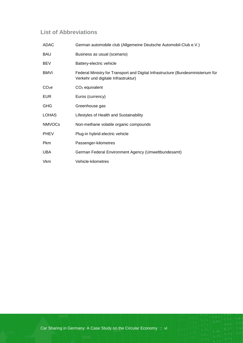## **List of Abbreviations**

| <b>ADAC</b>       | German automobile club (Allgemeine Deutsche Automobil-Club e.V.)                                                        |
|-------------------|-------------------------------------------------------------------------------------------------------------------------|
| <b>BAU</b>        | Business as usual (scenario)                                                                                            |
| BEV               | Battery-electric vehicle                                                                                                |
| <b>BMVI</b>       | Federal Ministry for Transport and Digital Infrastructure (Bundesministerium für<br>Verkehr und digitale Infrastruktur) |
| CO <sub>2</sub> e | $CO2$ equivalent                                                                                                        |
| <b>EUR</b>        | Euros (currency)                                                                                                        |
| <b>GHG</b>        | Greenhouse gas                                                                                                          |
| <b>LOHAS</b>      | Lifestyles of Health and Sustainability                                                                                 |
| <b>NMVOCs</b>     | Non-methane volatile organic compounds                                                                                  |
| <b>PHEV</b>       | Plug-in hybrid-electric vehicle                                                                                         |
| <b>Pkm</b>        | Passenger-kilometres                                                                                                    |
| UBA               | German Federal Environment Agency (Umweltbundesamt)                                                                     |
| Vkm               | Vehicle-kilometres                                                                                                      |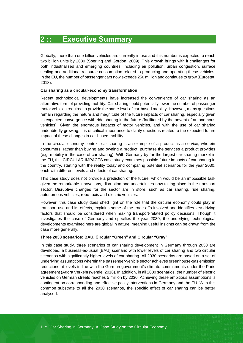# <span id="page-8-0"></span>**2 :: Executive Summary**

Globally, more than one billion vehicles are currently in use and this number is expected to reach two billion units by 2030 (Sperling and Gordon, 2009). This growth brings with it challenges for both industrialised and emerging countries, including air pollution, urban congestion, surface sealing and additional resource consumption related to producing and operating these vehicles. In the EU, the number of passenger cars now exceeds 250 million and continues to grow (Eurostat, 2018).

### **Car sharing as a circular-economy transformation**

Recent technological developments have increased the convenience of car sharing as an alternative form of providing mobility. Car sharing could potentially lower the number of passenger motor vehicles required to provide the same level of car-based mobility. However, many questions remain regarding the nature and magnitude of the future impacts of car sharing, especially given its expected convergence with ride sharing in the future (facilitated by the advent of autonomous vehicles). Given the enormous impacts of motor vehicles, and with the use of car sharing undoubtedly growing, it is of critical importance to clarify questions related to the expected future impact of these changes in car-based mobility.

In the circular-economy context, car sharing is an example of a product as a service, wherein consumers, rather than buying and owning a product, purchase the services a product provides (e.g. mobility in the case of car sharing). With Germany by far the largest car-sharing market in the EU, this CIRCULAR IMPACTS case study examines possible future impacts of car sharing in the country, starting with the reality today and comparing potential scenarios for the year 2030, each with different levels and effects of car sharing.

This case study does not provide a prediction of the future, which would be an impossible task given the remarkable innovations, disruption and uncertainties now taking place in the transport sector. Disruptive changes for the sector are in store, such as car sharing, ride sharing, autonomous vehicles, robo-taxis and electric vehicles.

However, this case study does shed light on the role that the circular economy could play in transport use and its effects, explains some of the trade-offs involved and identifies key driving factors that should be considered when making transport-related policy decisions. Though it investigates the case of Germany and specifies the year 2030, the underlying technological developments examined here are global in nature, meaning useful insights can be drawn from the case more generally.

### **Three 2030 scenarios: BAU, Circular "Green" and Circular "Gray"**

In this case study, three scenarios of car sharing development in Germany through 2030 are developed: a business-as-usual (BAU) scenario with lower levels of car sharing and two circular scenarios with significantly higher levels of car sharing. All 2030 scenarios are based on a set of underlying assumptions wherein the passenger-vehicle sector achieves greenhouse-gas emission reductions at levels in line with the German government's climate commitments under the Paris agreement (Agora Verkehrswende, 2018). In addition, in all 2030 scenarios, the number of electric vehicles on German streets reaches 5 million by 2030. Achieving these ambitious assumptions is contingent on corresponding and effective policy interventions in Germany and the EU. With this common substrate to all the 2030 scenarios, the specific effect of car sharing can be better analysed.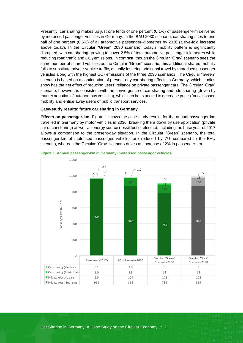Presently, car sharing makes up just one tenth of one percent (0.1%) of passenger-km delivered by motorised passenger vehicles in Germany. In the BAU 2030 scenario, car sharing rises to one half of one percent (0.5%) of all automotive passenger-kilometres by 2030 (a five-fold increase above today). In the Circular "Green" 2030 scenario, today's mobility pattern is significantly disrupted, with car sharing growing to cover 2.5% of total automotive passenger-kilometres while reducing road traffic and CO<sub>2</sub> emissions. In contrast, though the Circular "Gray" scenario sees the same number of shared vehicles as the Circular "Green" scenario, this additional shared mobility fails to substitute private-vehicle traffic, actually fostering additional travel by motorised passenger vehicles along with the highest  $CO<sub>2</sub>$  emissions of the three 2030 scenarios. The Circular "Green" scenario is based on a continuation of present-day car-sharing effects in Germany, which studies show has the net effect of reducing users' reliance on private passenger cars. The Circular "Gray" scenario, however, is consistent with the convergence of car sharing and ride sharing (driven by market adoption of autonomous vehicles), which can be expected to decrease prices for car-based mobility and entice away users of public transport services.

### **Case-study results: future car sharing in Germany**

**Effects on passenger-km.** [Figure 1](#page-9-0) shows the case-study results for the annual passenger-km travelled in Germany by motor vehicles in 2030, breaking them down by use application (private car or car sharing) as well as energy source (fossil fuel or electric). Including the base year of 2017 allows a comparison to the present-day situation. In the Circular "Green" scenario, the total passenger-km of motorised passenger vehicles are reduced by 7% compared to the BAU scenario, whereas the Circular "Gray" scenario drives an increase of 2% in passenger-km.



<span id="page-9-0"></span>**Figure 1. Annual passenger-km in Germany (motorised passenger vehicles)**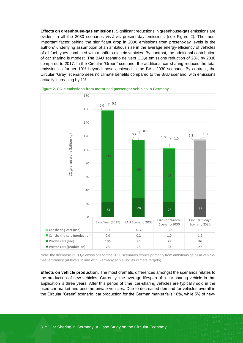**Effects on greenhouse-gas emissions.** Significant reductions in greenhouse-gas emissions are evident in all the 2030 scenarios vis-à-vis present-day emissions (see [Figure 2\)](#page-10-0). The most important factor behind the significant drop in 2030 emissions from present-day levels is the authors' underlying assumption of an ambitious rise in the average energy-efficiency of vehicles of all fuel types combined with a shift to electric vehicles. By contrast, the additional contribution of car sharing is modest. The BAU scenario delivers CO<sub>2</sub>e emissions reduction of 28% by 2030 compared to 2017. In the Circular "Green" scenario, the additional car sharing reduces the total emissions a further 10% beyond those achieved in the BAU 2030 scenario. By contrast, the Circular "Gray" scenario sees no climate benefits compared to the BAU scenario, with emissions actually increasing by 1%.



<span id="page-10-0"></span>

Note: the decrease in CO<sub>2</sub>e emissions for the 2030 scenarios results primarily from ambitious gains in vehiclefleet efficiency (at levels in line with Germany achieving its climate targets).

**Effects on vehicle production.** The most dramatic differences amongst the scenarios relates to the production of new vehicles. Currently, the average lifespan of a car-sharing vehicle in that application is three years. After this period of time, car-sharing vehicles are typically sold in the used-car market and become private vehicles. Due to decreased demand for vehicles overall in the Circular "Green" scenario, car production for the German market falls 16%, while 5% of new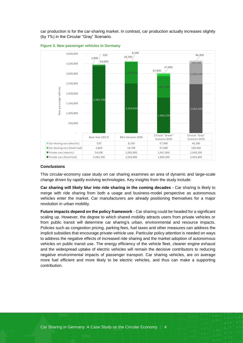car production is for the car-sharing market. In contrast, car production actually increases slightly (by 1%) in the Circular "Gray" Scenario.



<span id="page-11-0"></span>**Figure 3. New passenger vehicles in Germany**

### **Conclusions**

This circular-economy case study on car sharing examines an area of dynamic and large-scale change driven by rapidly evolving technologies. Key insights from the study include:

**Car sharing will likely blur into ride sharing in the coming decades** - Car sharing is likely to merge with ride sharing from both a usage and business-model perspective as autonomous vehicles enter the market. Car manufacturers are already positioning themselves for a major revolution in urban mobility.

**Future impacts depend on the policy framework** - Car sharing could be headed for a significant scaling up. However, the degree to which shared mobility attracts users from private vehicles or from public transit will determine car sharing's urban, environmental and resource impacts. Policies such as congestion pricing, parking fees, fuel taxes and other measures can address the implicit subsidies that encourage private-vehicle use. Particular policy attention is needed on ways to address the negative effects of increased ride sharing and the market adoption of autonomous vehicles on public transit use. The energy efficiency of the vehicle fleet, cleaner engine exhaust and the widespread uptake of electric vehicles will remain the decisive contributors to reducing negative environmental impacts of passenger transport. Car sharing vehicles, are on average more fuel efficient and more likely to be electric vehicles, and thus can make a supporting contribution.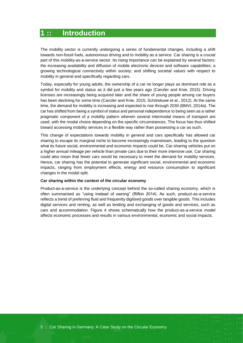# <span id="page-12-0"></span>**1 :: Introduction**

The mobility sector is currently undergoing a series of fundamental changes, including a shift towards non-fossil fuels, autonomous driving and to mobility as a service. Car sharing is a crucial part of this mobility-as-a-service sector. Its rising importance can be explained by several factors: the increasing availability and diffusion of mobile electronic devices and software capabilities; a growing technological connectivity within society; and shifting societal values with respect to mobility in general and specifically regarding cars.

Today, especially for young adults, the ownership of a car no longer plays as dominant role as a symbol for mobility and status as it did just a few years ago (Canzler and Knie, 2015). Driving licenses are increasingly being acquired later and the share of young people among car buyers has been declining for some time (Canzler and Knie, 2015; Schönduwe et al., 2012). At the same time, the demand for mobility is increasing and expected to rise through 2030 (BMVI, 2014a). The car has shifted from being a symbol of status and personal independence to being seen as a rather pragmatic component of a mobility pattern wherein several intermodal means of transport are used, with the modal choice depending on the specific circumstances. The focus has thus shifted toward accessing mobility services in a flexible way rather than possessing a car as such.

This change of expectations towards mobility in general and cars specifically has allowed car sharing to escape its marginal niche to become increasingly mainstream, leading to the question what its future social, environmental and economic impacts could be. Car-sharing vehicles put on a higher annual mileage per vehicle than private cars due to their more intensive use. Car sharing could also mean that fewer cars would be necessary to meet the demand for mobility services. Hence, car sharing has the potential to generate significant social, environmental and economic impacts, ranging from employment effects, energy and resource consumption to significant changes in the modal split.

### **Car sharing within the context of the circular economy**

Product-as-a-service is the underlying concept behind the so-called sharing economy, which is often summarised as "using instead of owning" (Rifkin 2014). As such, product-as-a-service reflects a trend of preferring fluid and frequently digitised goods over tangible goods. This includes digital services and renting, as well as lending and exchanging of goods and services, such as cars and accommodation. [Figure 4](#page-13-0) shows schematically how the product-as-a-service model affects economic processes and results in various environmental, economic and social impacts.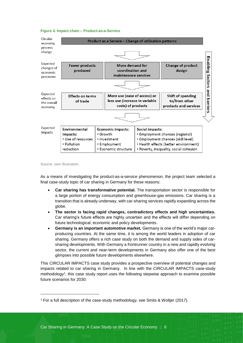

### <span id="page-13-0"></span>**Figure 4. Impact chain – Product-as-a-Service**

Source: own illustration.

l

As a means of investigating the product-as-a-service phenomenon, the project team selected a final case-study topic of car sharing in Germany for these reasons:

- **Car sharing has transformative potential.** The transportation sector is responsible for a large portion of energy consumption and greenhouse-gas emissions. Car sharing is a transition that is already underway, with car-sharing services rapidly expanding across the globe.
- **The sector is facing rapid changes, contradictory effects and high uncertainties.** Car sharing's future effects are highly uncertain and the effects will differ depending on future technological, economic and policy developments.
- **Germany is an important automotive market.** Germany is one of the world's major carproducing countries. At the same time, it is among the world leaders in adoption of car sharing. Germany offers a rich case study on both the demand and supply sides of carsharing developments. With Germany a frontrunner country in a new and rapidly evolving sector, the current and near-term developments in Germany also offer one of the best glimpses into possible future developments elsewhere.

This CIRCULAR IMPACTS case study provides a prospective overview of potential changes and impacts related to car sharing in Germany. In line with the CIRCULAR IMPACTS case-study methodology<sup>1</sup>, this case study report uses the following stepwise approach to examine possible future scenarios for 2030:

<sup>1</sup> For a full description of the case-study methodology, see Smits & Woltjer (2017).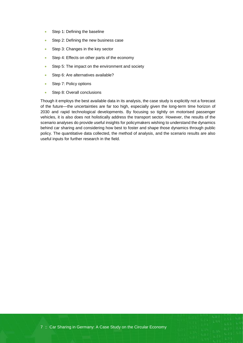- Step 1: Defining the baseline
- Step 2: Defining the new business case
- Step 3: Changes in the key sector
- Step 4: Effects on other parts of the economy
- Step 5: The impact on the environment and society
- Step 6: Are alternatives available?
- Step 7: Policy options
- Step 8: Overall conclusions

Though it employs the best available data in its analysis, the case study is explicitly not a forecast of the future—the uncertainties are far too high, especially given the long-term time horizon of 2030 and rapid technological developments. By focusing so tightly on motorised passenger vehicles, it is also does not holistically address the transport sector. However, the results of the scenario analyses do provide useful insights for policymakers wishing to understand the dynamics behind car sharing and considering how best to foster and shape those dynamics through public policy. The quantitative data collected, the method of analysis, and the scenario results are also useful inputs for further research in the field.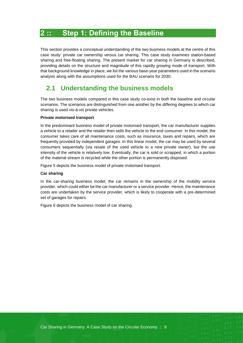# <span id="page-15-0"></span>**2 :: Step 1: Defining the Baseline**

This section provides a conceptual understanding of the two business models at the centre of this case study: private car ownership versus car sharing. This case study examines station-based sharing and free-floating sharing. The present market for car sharing in Germany is described, providing details on the structure and magnitude of this rapidly growing mode of transport. With that background knowledge in place, we list the various base-year parameters used in the scenario analysis along with the assumptions used for the BAU scenario for 2030.

# <span id="page-15-1"></span>**2.1 Understanding the business models**

The two business models compared in this case study co-exist in both the baseline and circular scenarios. The scenarios are distinguished from one another by the differing degrees to which car sharing is used vis-à-vis private vehicles.

### **Private motorised transport**

In the predominant business model of private motorised transport, the car manufacturer supplies a vehicle to a retailer and the retailer then sells the vehicle to the end consumer. In this model, the consumer takes care of all maintenance costs, such as insurance, taxes and repairs, which are frequently provided by independent garages. In this linear model, the car may be used by several consumers sequentially (via resale of the used vehicle to a new private owner), but the use intensity of the vehicle is relatively low. Eventually, the car is sold or scrapped, in which a portion of the material stream is recycled while the other portion is permanently disposed.

[Figure 5](#page-16-0) depicts the business model of private motorised transport.

### **Car sharing**

In the car-sharing business model, the car remains in the ownership of the mobility service provider, which could either be the car manufacturer or a service provider. Hence, the maintenance costs are undertaken by the service provider, which is likely to cooperate with a pre-determined set of garages for repairs.

[Figure 6](#page-16-1) depicts the business model of car sharing.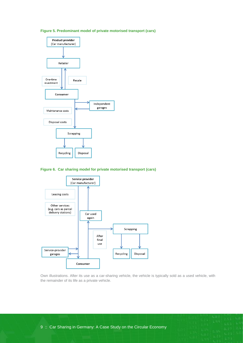<span id="page-16-0"></span>



<span id="page-16-1"></span>



Own illustrations. After its use as a car-sharing vehicle, the vehicle is typically sold as a used vehicle, with the remainder of its life as a private vehicle.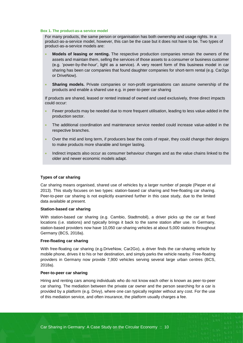#### **Box 1. The product-as-a service model**

For many products, the same person or organisation has both ownership and usage rights. In a product-as-a-service model, however, this can be the case but it does not have to be. Two types of product-as-a-service models are:

- **Models of leasing or renting.** The respective production companies remain the owners of the assets and maintain them, selling the services of those assets to a consumer or business customer (e.g. 'power-by-the-hour', light as a service). A very recent form of this business model in car sharing has been car companies that found daughter companies for short-term rental (e.g. Car2go or DriveNow).
- **Sharing models.** Private companies or non-profit organisations can assume ownership of the products and enable a shared use e.g. in peer-to-peer car sharing

If products are shared, leased or rented instead of owned and used exclusively, three direct impacts could occur:

- Fewer products may be needed due to more frequent utilisation, leading to less value-added in the production sector.
- The additional coordination and maintenance service needed could increase value-added in the respective branches.
- Over the mid and long term, if producers bear the costs of repair, they could change their designs to make products more sharable and longer lasting.
- Indirect impacts also occur as consumer behaviour changes and as the value chains linked to the older and newer economic models adapt.

#### **Types of car sharing**

Car sharing means organised, shared use of vehicles by a larger number of people (Pieper et al 2013). This study focuses on two types: station-based car sharing and free-floating car sharing. Peer-to-peer car sharing is not explicitly examined further in this case study, due to the limited data available at present.

#### **Station-based car sharing**

With station-based car sharing (e.g. Cambio, Stadtmobil), a driver picks up the car at fixed locations (i.e. stations) and typically brings it back to the same station after use. In Germany, station-based providers now have 10,050 car-sharing vehicles at about 5,000 stations throughout Germany (BCS, 2018a).

#### **Free-floating car sharing**

With free-floating car sharing (e.g.DriveNow, Car2Go), a driver finds the car-sharing vehicle by mobile phone, drives it to his or her destination, and simply parks the vehicle nearby. Free-floating providers in Germany now provide 7,900 vehicles serving several large urban centres (BCS, 2018a).

#### **Peer-to-peer car sharing**

Hiring and renting cars among individuals who do not know each other is known as peer-to-peer car sharing. The mediation between the private car owner and the person searching for a car is provided by a platform (e.g. Drivy), where one can typically register without any cost. For the use of this mediation service, and often insurance, the platform usually charges a fee.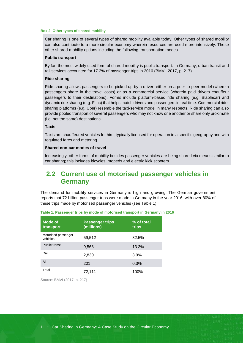#### **Box 2. Other types of shared mobility**

Car sharing is one of several types of shared mobility available today. Other types of shared mobility can also contribute to a more circular economy wherein resources are used more intensively. These other shared-mobility options including the following transportation modes.

### **Public transport**

By far, the most widely used form of shared mobility is public transport. In Germany, urban transit and rail services accounted for 17.2% of passenger trips in 2016 (BMVI, 2017, p. 217).

### **Ride sharing**

Ride sharing allows passengers to be picked up by a driver, either on a peer-to-peer model (wherein passengers share in the travel costs) or as a commercial service (wherein paid drivers chauffeur passengers to their destinations). Forms include platform-based ride sharing (e.g. Blablacar) and dynamic ride sharing (e.g. Flinc) that helps match drivers and passengers in real time. Commercial ridesharing platforms (e.g. Uber) resemble the taxi-service model in many respects. Ride sharing can also provide pooled transport of several passengers who may not know one another or share only proximate (i.e. not the same) destinations.

### **Taxis**

Taxis are chauffeured vehicles for hire, typically licensed for operation in a specific geography and with regulated fares and metering.

### **Shared non-car modes of travel**

Increasingly, other forms of mobility besides passenger vehicles are being shared via means similar to car sharing; this includes bicycles, mopeds and electric kick scooters.

### <span id="page-18-0"></span>**2.2 Current use of motorised passenger vehicles in Germany**

The demand for mobility services in Germany is high and growing. The German government reports that 72 billion passenger trips were made in Germany in the year 2016, with over 80% of these trips made by motorised passenger vehicles (see [Table 1\)](#page-18-1).

| Mode of<br>transport            | <b>Passenger trips</b><br>(millions) | % of total<br>trips |
|---------------------------------|--------------------------------------|---------------------|
| Motorised passenger<br>vehicles | 59,512                               | 82.5%               |
| Public transit                  | 9,568                                | 13.3%               |
| Rail                            | 2,830                                | 3.9%                |
| Air                             | 201                                  | 0.3%                |
| Total                           | 72,111                               | 100%                |

#### <span id="page-18-1"></span>**Table 1. Passenger trips by mode of motorised transport in Germany in 2016**

Source: BMVI (2017, p. 217)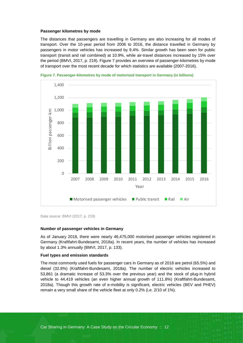#### **Passenger kilometres by mode**

The distances that passengers are travelling in Germany are also increasing for all modes of transport. Over the 10-year period from 2006 to 2016, the distance travelled in Germany by passengers in motor vehicles has increased by 9.4%. Similar growth has been seen for public transport (transit and rail combined) at 10.9%, while air-travel distances increased by 15% over the period (BMVI, 2017, p. 219). [Figure 7](#page-19-0) provides an overview of passenger-kilometres by mode of transport over the most recent decade for which statistics are available (2007-2016).



<span id="page-19-0"></span>**Figure 7. Passenger-kilometres by mode of motorised transport in Germany (in billions)**

Data source: BMVI (2017, p. 219)

#### **Number of passenger vehicles in Germany**

As of January 2018, there were nearly 46,475,000 motorised passenger vehicles registered in Germany (Kraftfahrt-Bundesamt, 2018a). In recent years, the number of vehicles has increased by about 1.3% annually (BMVI, 2017, p. 133).

#### **Fuel types and emission standards**

The most commonly used fuels for passenger cars in Germany as of 2018 are petrol (65.5%) and diesel (32.8%) (Kraftfahrt-Bundesamt, 2018a). The number of electric vehicles increased to 53,861 (a dramatic increase of 53.3% over the previous year) and the stock of plug-in hybrid vehicle to 44,419 vehicles (an even higher annual growth of 111.8%) (Kraftfahrt-Bundesamt, 2018a). Though this growth rate of e-mobility is significant, electric vehicles (BEV and PHEV) remain a very small share of the vehicle fleet at only 0.2% (i.e. 2/10 of 1%).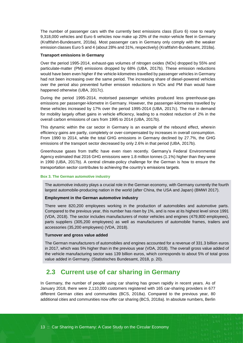The number of passenger cars with the currently best emissions class (Euro 6) rose to nearly 9,318,000 vehicles and Euro 6 vehicles now make up 20% of the motor-vehicle fleet in Germany (Kraftfahrt-Bundesamt, 2018a). Most passenger cars in Germany only comply with the weaker emission classes Euro 5 and 4 (about 28% and 31%, respectively) (Kraftfahrt-Bundesamt, 2018a).

### **Transport emissions in Germany**

Over the period 1995-2014, exhaust-gas volumes of nitrogen oxides (NOx) dropped by 55% and particulate-matter (PM) emissions dropped by 68% (UBA, 2017b). These emission reductions would have been even higher if the vehicle-kilometres travelled by passenger vehicles in Germany had not been increasing over the same period. The increasing share of diesel-powered vehicles over the period also prevented further emission reductions in NOx and PM than would have happened otherwise (UBA, 2017c).

During the period 1995-2014, motorised passenger vehicles produced less greenhouse-gas emissions per passenger-kilometre in Germany. However, the passenger-kilometres travelled by these vehicles increased by 17% over the period 1995-2014 (UBA, 2017c). The rise in demand for mobility largely offset gains in vehicle efficiency, leading to a modest reduction of 2% in the overall carbon emissions of cars from 1995 to 2014 (UBA, 2017b).

This dynamic within the car sector in Germany is an example of the rebound effect, wherein efficiency gains are partly, completely or over-compensated by increases in overall consumption. From 1990 to 2014, while the total GHG emissions in Germany declined by 27.7%, the GHG emissions of the transport sector decreased by only 2.6% in that period (UBA, 2017b).

Greenhouse gases from traffic have even risen recently. Germany's Federal Environmental Agency estimated that 2016 GHG emissions were 1.8 million tonnes (1.1%) higher than they were in 1990 (UBA, 2017b). A central climate-policy challenge for the German is how to ensure the transportation sector contributes to achieving the country's emissions targets.

### **Box 3. The German automotive industry**

The automotive industry plays a crucial role in the German economy, with Germany currently the fourth largest automobile-producing nation in the world (after China, the USA and Japan) (BMWI 2017).

### **Employment in the German automotive industry**

There were 820,200 employees working in the production of automobiles and automotive parts. Compared to the previous year, this number has risen by 1%, and is now at its highest level since 1991 (VDA, 2018). The sector includes manufacturers of motor vehicles and engines (479,800 employees), parts suppliers (305,200 employees) as well as manufacturers of automobile frames, trailers and accessories (35,200 employees) (VDA, 2018).

### **Turnover and gross value added**

The German manufacturers of automobiles and engines accounted for a revenue of 331.3 billion euros in 2017, which was 5% higher than in the previous year (VDA, 2018). The overall gross value added of the vehicle manufacturing sector was 139 billion euros, which corresponds to about 5% of total gross value added in Germany. (Statistisches Bundesamt, 2018, p. 20).

### <span id="page-20-0"></span>**2.3 Current use of car sharing in Germany**

In Germany, the number of people using car sharing has grown rapidly in recent years. As of January 2018, there were 2,110,000 customers registered with 165 car-sharing providers in 677 different German cities and communities (BCS, 2018a). Compared to the previous year, 80 additional cities and communities now offer car sharing (BCS, 2018a). In absolute numbers, Berlin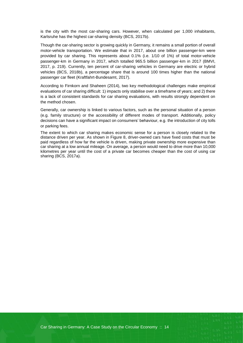is the city with the most car-sharing cars. However, when calculated per 1,000 inhabitants, Karlsruhe has the highest car-sharing density (BCS, 2017b).

Though the car-sharing sector is growing quickly in Germany, it remains a small portion of overall motor-vehicle transportation. We estimate that in 2017, about one billion passenger-km were provided by car sharing. This represents about 0.1% (i.e. 1/10 of 1%) of total motor-vehicle passenger-km in Germany in 2017, which totalled 965.5 billion passenger-km in 2017 (BMVI, 2017, p. 219). Currently, ten percent of car-sharing vehicles in Germany are electric or hybrid vehicles (BCS, 2018b), a percentage share that is around 100 times higher than the national passenger car fleet (Kraftfahrt-Bundesamt, 2017).

According to Firnkorn and Shaheen (2014), two key methodological challenges make empirical evaluations of car sharing difficult: 1) impacts only stabilise over a timeframe of years; and 2) there is a lack of consistent standards for car sharing evaluations, with results strongly dependent on the method chosen.

Generally, car ownership is linked to various factors, such as the personal situation of a person (e.g. family structure) or the accessibility of different modes of transport. Additionally, policy decisions can have a significant impact on consumers' behaviour, e.g. the introduction of city tolls or parking fees.

The extent to which car sharing makes economic sense for a person is closely related to the distance driven per year. As shown in [Figure 8,](#page-22-1) driver-owned cars have fixed costs that must be paid regardless of how far the vehicle is driven, making private ownership more expensive than car sharing at a low annual mileage. On average, a person would need to drive more than 10,000 kilometres per year until the cost of a private car becomes cheaper than the cost of using car sharing (BCS, 2017a).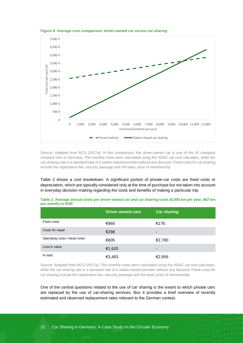

<span id="page-22-1"></span>**Figure 8. Average cost comparison: driver-owned car versus car sharing** 

Source: Adapted from BCS (2017a). In this comparison, the driver-owned car is one of the 10 cheapest compact cars in Germany. The monthly costs were calculated using the ADAC car cost calculator, while the car-sharing rate is a standard rate of a station-based provider without any discount. Fixed costs for car sharing include the registration fee, security package and the basic price of membership.

[Table 2](#page-22-0) shows a cost breakdown. A significant portion of private-car costs are fixed costs or depreciation, which are typically considered only at the time of purchase but not taken into account in everyday decision-making regarding the costs and benefits of making a particular trip.

|                                | <b>Driver owned cars</b> | <b>Car sharing</b>       |
|--------------------------------|--------------------------|--------------------------|
| Fixed costs                    | €960                     | €176                     |
| Costs for repair               | €298                     | -                        |
| Operating costs / travel costs | €605                     | €2,780                   |
| Loss in value                  | €1.620                   | $\overline{\phantom{a}}$ |
| In total                       | €3,483                   | €2,956                   |

<span id="page-22-0"></span>**Table 2. Average annual costs per driver-owned car and car sharing costs (8,000 km per year, 667 km per month) in EUR**

Source: Adapted from BCS (2017a). The monthly costs were calculated using the ADAC car cost calculator, while the car-sharing rate is a standard rate of a station-based provider without any discount. Fixed costs for car sharing include the registration fee, security package and the basic price of membership.

One of the central questions related to the use of car sharing is the extent to which private cars are replaced by the use of car-sharing services. [Box 4](#page-23-0) provides a brief overview of recently estimated and observed replacement rates relevant to the German context.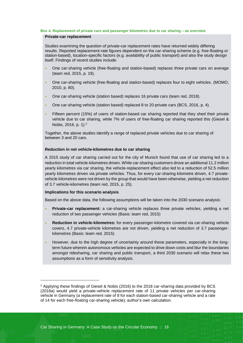#### <span id="page-23-0"></span>**Box 4. Replacement of private cars and passenger kilometres due to car sharing – as overview**

### **Private-car replacement**

Studies examining the question of private-car replacement rates have returned widely differing results. Reported replacement-rate figures dependent on the car-sharing scheme (e.g. free-floating or station-based), location-specific factors (e.g. availability of public transport) and also the study design itself. Findings of recent studies include:

- One car-sharing vehicle (free-floating and station-based) replaces three private cars on average (team red, 2015, p. 19).
- One car-sharing vehicle (free-floating and station-based) replaces four to eight vehicles. (MOMO, 2010, p. 80).
- One car-sharing vehicle (station based) replaces 16 private cars (team red, 2018).
- One car-sharing vehicle (station based) replaced 8 to 20 private cars (BCS, 2016, p. 4).
- Fifteen percent (15%) of users of station-based car sharing reported that they shed their private vehicle due to car sharing, while 7% of users of free-floating car sharing reported this (Giesel & Nobis, 2016, p. 1). 2

Together, the above studies identify a range of replaced private vehicles due to car sharing of between 3 and 20 cars.

### **Reduction in net vehicle-kilometres due to car sharing**

A 2015 study of car sharing carried out for the city of Munich found that use of car sharing led to a reduction in total vehicle-kilometres driven. While car-sharing customers drove an additional 11.2 million yearly kilometres via car sharing, the vehicle-replacement effect also led to a reduction of 52.5 million yearly kilometres driven via private vehicles. Thus, for every car-sharing kilometre driven, 4.7 privatevehicle kilometres were not driven by the group that would have been otherwise, yielding a net reduction of 3.7 vehicle-kilometres (team red, 2015, p. 25).

### **Implications for this scenario analysis**

l

Based on the above data, the following assumptions will be taken into the 2030 scenario analysis:

- **Private-car replacement:** a car-sharing vehicle replaces three private vehicles, yielding a net reduction of two passenger vehicles (Basis: team red, 2015)
- **Reduction in vehicle-kilometres:** for every passenger-kilometre covered via car-sharing vehicle covers, 4.7 private-vehicle kilometres are not driven, yielding a net reduction of 3.7 passengerkilometres (Basis: team red, 2015)
- However, due to the high degree of uncertainty around these parameters, especially in the longterm future wherein autonomous vehicles are expected to drive down costs and blur the boundaries amongst ridesharing, car sharing and public transport, a third 2030 scenario will relax these two assumptions as a form of sensitivity analysis.

<sup>2</sup> Applying these findings of Giesel & Nobis (2016) to the 2018 car-sharing data provided by BCS (2018a) would yield a private-vehicle replacement rate of 11 private vehicles per car-sharing vehicle in Germany (a replacement rate of 8 for each station-based car-sharing vehicle and a rate of 14 for each free-floating car-sharing vehicle); author's own calculation.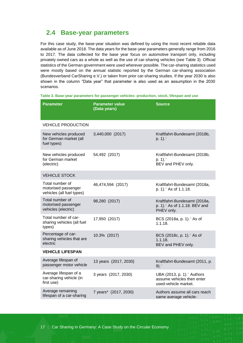### <span id="page-24-0"></span>**2.4 Base-year parameters**

For this case study, the base-year situation was defined by using the most recent reliable data available as of June 2018. The data years for the base-year parameters generally range from 2016 to 2017. The data collected for the base year focus on automotive transport only, including privately owned cars as a whole as well as the use of car-sharing vehicles (see [Table 3\)](#page-24-1). Official statistics of the German government were used wherever possible. The car-sharing statistics used were mostly based on the annual statistic reported by the German car-sharing association (Bundesverband CarSharing e.V.) or taken from prior car-sharing studies. If the year 2030 is also shown in the column "Data year" that parameter is also used as an assumption in the 2030 scenarios.

<span id="page-24-1"></span>

|  | Table 3. Base-year parameters for passenger vehicles: production, stock, lifespan and use |  |  |  |
|--|-------------------------------------------------------------------------------------------|--|--|--|
|  |                                                                                           |  |  |  |

| <b>Parameter</b>                                                    | <b>Parameter value</b><br>(Data years) | <b>Source</b>                                                                   |
|---------------------------------------------------------------------|----------------------------------------|---------------------------------------------------------------------------------|
| <b>VEHICLE PRODUCTION</b>                                           |                                        |                                                                                 |
| New vehicles produced<br>for German market (all<br>fuel types)      | 3,440,000 (2017)                       | Kraftfahrt-Bundesamt (2018b,<br>p. 1.                                           |
| New vehicles produced<br>for German market<br>(electric)            | 54,492 (2017)                          | Kraftfahrt-Bundesamt (2018b,<br>p. 1.<br>BEV and PHEV only.                     |
| <b>VEHICLE STOCK</b>                                                |                                        |                                                                                 |
| Total number of<br>motorised passenger<br>vehicles (all fuel types) | 46,474,594 (2017)                      | Kraftfahrt-Bundesamt (2018a,<br>p. 1). As of 1.1.18.                            |
| Total number of<br>motorised passenger<br>vehicles (electric)       | 98,280 (2017)                          | Kraftfahrt-Bundesamt (2018a,<br>p. 1). As of 1.1.18. BEV and<br>PHEV only.      |
| Total number of car-<br>sharing vehicles (all fuel<br>types)        | 17,950 (2017)                          | BCS (2018a, p. 1). As of<br>1.1.18.                                             |
| Percentage of car-<br>sharing vehicles that are<br>electric         | 10.3% (2017)                           | BCS (2018c, p. 1). As of<br>1.1.18.<br>BEV and PHEV only.                       |
| <b>VEHICLE LIFESPAN</b>                                             |                                        |                                                                                 |
| Average lifespan of<br>passenger motor vehicle                      | 13 years (2017, 2030)                  | Kraftfahrt-Bundesamt (2011, p.<br>$9).^{\circ}$                                 |
| Average lifespan of a<br>car-sharing vehicle (in<br>first use)      | 3 years (2017, 2030)                   | UBA (2013, p. 1). Authors<br>assume vehicles then enter<br>used-vehicle market. |
| Average remaining<br>lifespan of a car-sharing                      | 7 years* (2017, 2030)                  | Authors assume all cars reach<br>same average vehicle-                          |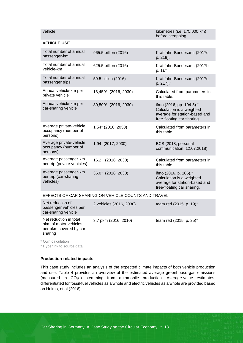### **VEHICLE USE**

| Total number of annual<br>passenger-km                      | 965.5 billion (2016) | Kraftfahrt-Bundesamt (2017c,<br>p. 219). $^{\circ}$                                                                 |
|-------------------------------------------------------------|----------------------|---------------------------------------------------------------------------------------------------------------------|
| Total number of annual<br>vehicle-km                        | 625.5 billion (2016) | Kraftfahrt-Bundesamt (2017b,<br>p. 1). $^{\circ}$                                                                   |
| Total number of annual<br>passenger trips                   | 59.5 billion (2016)  | Kraftfahrt-Bundesamt (2017c,<br>p. 217). $^{\circ}$                                                                 |
| Annual vehicle-km per<br>private vehicle                    | 13,459* (2016, 2030) | Calculated from parameters in<br>this table.                                                                        |
| Annual vehicle-km per<br>car-sharing vehicle                | 30,500* (2016, 2030) | ifmo (2016, pp. 104-5).<br>Calculation is a weighted<br>average for station-based and<br>free-floating car sharing. |
| Average private-vehicle<br>occupancy (number of<br>persons) | 1.54* (2016, 2030)   | Calculated from parameters in<br>this table.                                                                        |
| Average private-vehicle<br>occupancy (number of<br>persons) | 1.94 (2017, 2030)    | BCS (2018, personal<br>communication, 12.07.2018)                                                                   |
| Average passenger-km<br>per trip (private vehicles)         | 16.2* (2016, 2030)   | Calculated from parameters in<br>this table.                                                                        |
| Average passenger-km<br>per trip (car-sharing<br>vehicles)  | 36.0* (2016, 2030)   | ifmo (2016, p. 105).<br>Calculation is a weighted<br>average for station-based and<br>free-floating car sharing.    |

### EFFECTS OF CAR SHARING ON VEHICLE COUNTS AND TRAVEL

| Net reduction of<br>passenger vehicles per<br>car-sharing vehicle                    | 2 vehicles (2016, 2030) | team red (2015, p. 19) $^{\circ}$ |
|--------------------------------------------------------------------------------------|-------------------------|-----------------------------------|
| Net reduction in total<br>pkm of motor vehicles<br>per pkm covered by car<br>sharing | 3.7 pkm (2016, 2010)    | team red (2015, p. 25) $^{\circ}$ |

\* Own calculation

° Hyperlink to source data

### **Production-related impacts**

This case study includes an analysis of the expected climate impacts of both vehicle production and use. [Table 4](#page-26-0) provides an overview of the estimated average greenhouse-gas emissions (measured in CO2e) stemming from automobile production. Average-value estimates, differentiated for fossil-fuel vehicles as a whole and electric vehicles as a whole are provided based on Helms, et al (2016).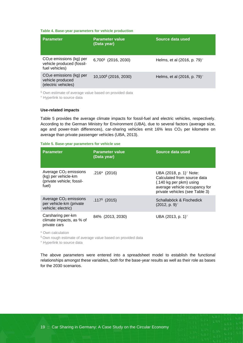### <span id="page-26-0"></span>**Table 4. Base-year parameters for vehicle production**

| <b>Parameter</b>                                                         | <b>Parameter value</b><br>(Data year) | Source data used            |
|--------------------------------------------------------------------------|---------------------------------------|-----------------------------|
| $CO2e$ emissions (kg) per<br>vehicle produced (fossil-<br>fuel vehicles) | $6,700$ <sup>§</sup> (2016, 2030)     | Helms, et al (2016, p. 79)° |
| $CO2e$ emissions (kg) per<br>vehicle produced<br>(electric vehicles)     | 10,100 <sup>§</sup> (2016, 2030)      | Helms, et al (2016, p. 79)° |

§ Own estimate of average value based on provided data

° Hyperlink to source data

### **Use-related impacts**

[Table 5](#page-26-1) provides the average climate impacts for fossil-fuel and electric vehicles, respectively. According to the German Ministry for Environment (UBA), due to several factors (average size, age and power-train differences), car-sharing vehicles emit 16% less  $CO<sub>2</sub>$  per kilometre on average than private passenger vehicles (UBA, 2013).

### <span id="page-26-1"></span>**Table 5. Base-year parameters for vehicle use**

| <b>Parameter</b>                                                                               | <b>Parameter value</b><br>(Data year) | Source data used                                                                                                                                               |
|------------------------------------------------------------------------------------------------|---------------------------------------|----------------------------------------------------------------------------------------------------------------------------------------------------------------|
| Average CO <sub>2</sub> emissions<br>(kg) per vehicle-km<br>(private vehicle; fossil-<br>fuel) | $.216*$ (2016)                        | UBA (2018, p. 1) $^{\circ}$ Note:<br>Calculated from source data<br>(.140 kg per pkm) using<br>average vehicle occupancy for<br>private vehicles (see Table 3) |
| Average CO <sub>2</sub> emissions<br>per vehicle-km (private<br>vehicle; electric)             | $.117$ (2015)                         | Schallaböck & Fischedick<br>$(2012, p. 9)^\circ$                                                                                                               |
| Carsharing per-km<br>climate impacts, as % of<br>private cars                                  | 84% (2013, 2030)                      | UBA (2013, p. 1) <sup>o</sup>                                                                                                                                  |
| * Own calculation                                                                              |                                       |                                                                                                                                                                |

§ Own rough estimate of average value based on provided data

° Hyperlink to source data

The above parameters were entered into a spreadsheet model to establish the functional relationships amongst these variables, both for the base-year results as well as their role as bases for the 2030 scenarios.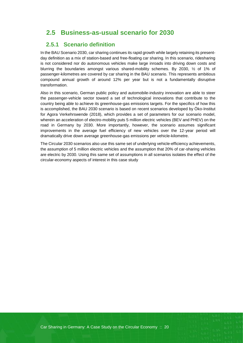# <span id="page-27-0"></span>**2.5 Business-as-usual scenario for 2030**

### <span id="page-27-1"></span>**2.5.1 Scenario definition**

In the BAU Scenario 2030, car sharing continues its rapid growth while largely retaining its presentday definition as a mix of station-based and free-floating car sharing. In this scenario, ridesharing is not considered nor do autonomous vehicles make large inroads into driving down costs and blurring the boundaries amongst various shared-mobility schemes. By 2030, ½ of 1% of passenger-kilometres are covered by car sharing in the BAU scenario. This represents ambitious compound annual growth of around 12% per year but is not a fundamentally disruptive transformation.

Also in this scenario, German public policy and automobile-industry innovation are able to steer the passenger-vehicle sector toward a set of technological innovations that contribute to the country being able to achieve its greenhouse-gas emissions targets. For the specifics of how this is accomplished, the BAU 2030 scenario is based on recent scenarios developed by Öko-Institut for Agora Verkehrswende (2018), which provides a set of parameters for our scenario model, wherein an acceleration of electro-mobility puts 5 million electric vehicles (BEV and PHEV) on the road in Germany by 2030. More importantly, however, the scenario assumes significant improvements in the average fuel efficiency of new vehicles over the 12-year period will dramatically drive down average greenhouse-gas emissions per vehicle-kilometre.

The Circular 2030 scenarios also use this same set of underlying vehicle-efficiency achievements, the assumption of 5 million electric vehicles and the assumption that 20% of car-sharing vehicles are electric by 2030. Using this same set of assumptions in all scenarios isolates the effect of the circular-economy aspects of interest in this case study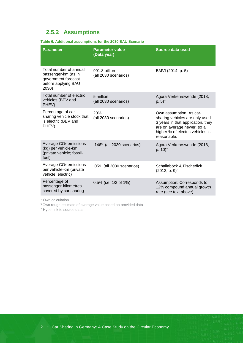# <span id="page-28-0"></span>**2.5.2 Assumptions**

<span id="page-28-1"></span>

| Table 6. Additional assumptions for the 2030 BAU Scenario |  |  |  |  |
|-----------------------------------------------------------|--|--|--|--|
|-----------------------------------------------------------|--|--|--|--|

| <b>Parameter</b>                                                                                     | <b>Parameter value</b><br>(Data year) | Source data used                                                                                                                                                                |
|------------------------------------------------------------------------------------------------------|---------------------------------------|---------------------------------------------------------------------------------------------------------------------------------------------------------------------------------|
| Total number of annual<br>passenger-km (as in<br>government forecast<br>before applying BAU<br>2030) | 991.8 billion<br>(all 2030 scenarios) | BMVI (2014, p. 5)                                                                                                                                                               |
| Total number of electric<br>vehicles (BEV and<br>PHEV)                                               | 5 million<br>(all 2030 scenarios)     | Agora Verkehrswende (2018,<br>p. $5)^\circ$                                                                                                                                     |
| Percentage of car-<br>sharing vehicle stock that<br>is electric (BEV and<br>PHEV)                    | 20%<br>(all 2030 scenarios)           | Own assumption. As car-<br>sharing vehicles are only used<br>3 years in that application, they<br>are on average newer, so a<br>higher % of electric vehicles is<br>reasonable. |
| Average CO <sub>2</sub> emissions<br>(kg) per vehicle-km<br>(private vehicle; fossil-<br>fuel)       | .146 $$$ (all 2030 scenarios)         | Agora Verkehrswende (2018,<br>p. $10^{\circ}$                                                                                                                                   |
| Average CO <sub>2</sub> emissions<br>per vehicle-km (private<br>vehicle; electric)                   | .059 (all 2030 scenarios)             | Schallaböck & Fischedick<br>(2012, p. 9)°                                                                                                                                       |
| Percentage of<br>passenger-kilometres<br>covered by car sharing                                      | 0.5% (i.e. 1/2 of 1%)                 | Assumption: Corresponds to<br>12% compound annual growth<br>rate (see text above).                                                                                              |

\* Own calculation

§ Own rough estimate of average value based on provided data

° Hyperlink to source data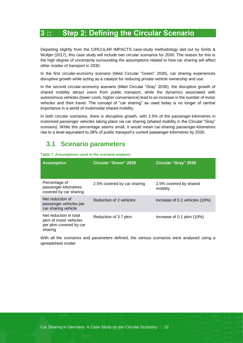# <span id="page-29-0"></span>**3 :: Step 2: Defining the Circular Scenario**

Departing slightly from the CIRCULAR IMPACTS case-study methodology laid out by Smits & Woltjer (2017), this case study will include two circular scenarios for 2030. The reason for this is the high degree of uncertainty surrounding the assumptions related to how car sharing will affect other modes of transport in 2030.

In the first circular-economy scenario (titled Circular "Green" 2030), car sharing experiences disruptive growth while acting as a catalyst for reducing private-vehicle ownership and use.

In the second circular-economy scenario (titled Circular "Gray" 2030), the disruptive growth of shared mobility attract users from public transport, while the dynamics associated with autonomous vehicles (lower costs, higher convenience) lead to an increase in the number of motor vehicles and their travel. The concept of "car sharing" as used today is no longer of central importance in a world of multimodal shared mobility.

In both circular scenarios, there is disruptive growth, with 2.5% of the passenger-kilometres in motorised passenger vehicles taking place via car sharing (shared mobility in the Circular "Gray" scenario). While this percentage seems small, it would mean car-sharing passenger-kilometres rise to a level equivalent to 28% of public transport's current passenger-kilometres by 2030.

### <span id="page-29-1"></span>**3.1 Scenario parameters**

| <b>Assumption</b>                                                                    | Circular "Green" 2030       | <b>Circular "Gray" 2030</b>        |
|--------------------------------------------------------------------------------------|-----------------------------|------------------------------------|
| Percentage of<br>passenger-kilometres<br>covered by car sharing                      | 2.5% covered by car sharing | 2.5% covered by shared<br>mobility |
| Net reduction of<br>passenger vehicles per<br>car-sharing vehicle                    | Reduction of 2 vehicles     | Increase of 0.1 vehicles (10%)     |
| Net reduction in total<br>pkm of motor vehicles<br>per pkm covered by car<br>sharing | Reduction of 3.7 pkm        | Increase of 0.1 pkm $(10%)$        |

<span id="page-29-2"></span>**Table 7. Assumptions used in the scenario analysis**

With all the scenarios and parameters defined, the various scenarios were analysed using a spreadsheet model.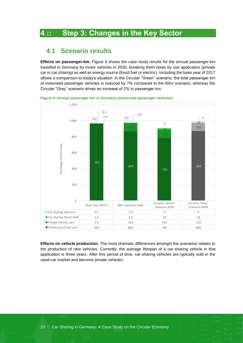# <span id="page-30-0"></span>**4 :: Step 3: Changes in the Key Sector**

### <span id="page-30-1"></span>**4.1 Scenario results**

**Effects on passenger-km.** [Figure 9](#page-30-2) shows the case-study results for the annual passenger-km travelled in Germany by motor vehicles in 2030, breaking them down by use application (private car or car sharing) as well as energy source (fossil fuel or electric). Including the base year of 2017 allows a comparison to today's situation. In the Circular "Green" scenario, the total passenger-km of motorised passenger vehicles is reduced by 7% compared to the BAU scenario, whereas the Circular "Gray" scenario drives an increase of 2% in passenger-km.



<span id="page-30-2"></span>**Figure 9. Annual passenger-km in Germany (motorised passenger vehicles)**

**Effects on vehicle production.** The most dramatic differences amongst the scenarios relates to the production of new vehicles. Currently, the average lifespan of a car-sharing vehicle in that application is three years. After this period of time, car-sharing vehicles are typically sold in the used-car market and become private vehicles.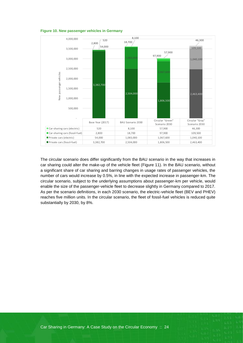<span id="page-31-0"></span>



The circular scenario does differ significantly from the BAU scenario in the way that increases in car sharing could alter the make-up of the vehicle fleet [\(Figure 11\)](#page-32-0). In the BAU scenario, without a significant share of car sharing and barring changes in usage rates of passenger vehicles, the number of cars would increase by 0.5%, in line with the expected increase in passenger-km. The circular scenario, subject to the underlying assumptions about passenger-km per vehicle, would enable the size of the passenger-vehicle fleet to decrease slightly in Germany compared to 2017. As per the scenario definitions, in each 2030 scenario, the electric-vehicle fleet (BEV and PHEV) reaches five million units. In the circular scenario, the fleet of fossil-fuel vehicles is reduced quite substantially by 2030, by 8%.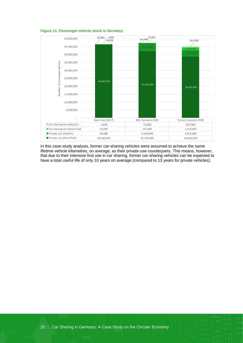<span id="page-32-0"></span>



In this case-study analysis, former car-sharing vehicles were assumed to achieve the same lifetime vehicle kilometres, on average, as their private-use counterparts. This means, however, that due to their intensive first use in car sharing, former car-sharing vehicles can be expected to have a total useful life of only 10 years on average (compared to 13 years for private vehicles).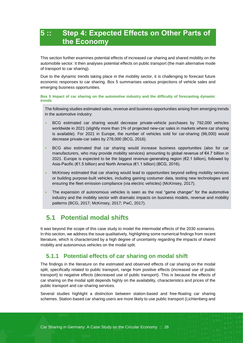# <span id="page-33-0"></span>**5 :: Step 4: Expected Effects on Other Parts of the Economy**

This section further examines potential effects of increased car sharing and shared mobility on the automobile sector. It then analyses potential effects on public transport (the main alternative mode of transport to car sharing).

Due to the dynamic trends taking place in the mobility sector, it is challenging to forecast future economic responses to car sharing. [Box 5](#page-33-3) summarises various projections of vehicle sales and emerging business opportunities.

<span id="page-33-3"></span>**Box 5 Impact of car sharing on the automotive industry and the difficulty of forecasting dynamic trends** 

The following studies estimated sales, revenue and business opportunities arising from emerging trends in the automotive industry:

- BCG estimated car sharing would decrease private-vehicle purchases by 792,000 vehicles worldwide in 2021 (slightly more than 1% of projected new-car sales in markets where car sharing is available). For 2021 in Europe, the number of vehicles sold for car-sharing (96,000) would decrease private-car sales by 278,000 (BCG, 2016).
- BCG also estimated that car sharing would increase business opportunities (also for car manufacturers, who may provide mobility services) amounting to global revenue of €4.7 billion in 2021. Europe is expected to be the biggest revenue-generating region (€2.1 billion), followed by Asia-Pacific (€1.5 billion) and North America (€1.1 billion) (BCG, 2016).
- McKinsey estimated that car sharing would lead to opportunities beyond selling mobility services or building purpose-built vehicles, including gaining costumer data, testing new technologies and ensuring the fleet emission compliance (via electric vehicles) (McKinsey, 2017).
- The expansion of autonomous vehicles is seen as the real "game changer" for the automotive industry and the mobility sector with dramatic impacts on business models, revenue and mobility patterns (BCG, 2017; McKinsey, 2017; PwC, 2017).

# <span id="page-33-1"></span>**5.1 Potential modal shifts**

It was beyond the scope of this case study to model the intermodal effects of the 2030 scenarios. In this section, we address the issue qualitatively, highlighting some numerical findings from recent literature, which is characterized by a high degree of uncertainty regarding the impacts of shared mobility and autonomous vehicles on the modal split.

### <span id="page-33-2"></span>**5.1.1 Potential effects of car sharing on modal shift**

The findings in the literature on the estimated and observed effects of car sharing on the modal split, specifically related to public transport, range from positive effects (increased use of public transport) to negative effects (decreased use of public transport). This is because the effects of car sharing on the modal split depends highly on the availability, characteristics and prices of the public transport and car-sharing services.

Several studies highlight a distinction between station-based and free-floating car sharing schemes. Station-based car sharing users are more likely to use public transport (Lichtenberg and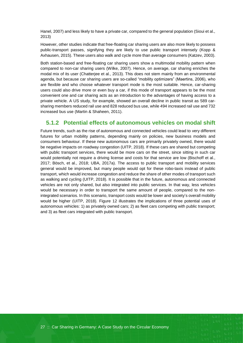Hanel, 2007) and less likely to have a private car, compared to the general population (Sioui et al., 2013)

However, other studies indicate that free-floating car sharing users are also more likely to possess public-transport passes, signifying they are likely to use public transport intensely (Kopp & Axhausen, 2015). These users also walk and cycle more than average consumers (Katzev, 2003).

Both station-based and free-floating car sharing users show a multimodal mobility pattern when compared to non-car sharing users (Wilke, 2007). Hence, on average, car sharing enriches the modal mix of its user (Chatterjee et al., 2013). This does not stem mainly from an environmental agenda, but because car sharing users are so-called "mobility optimizers" (Maertins, 2006), who are flexible and who choose whatever transport mode is the most suitable. Hence, car-sharing users could also drive more or even buy a car, if this mode of transport appears to be the most convenient one and car sharing acts as an introduction to the advantages of having access to a private vehicle. A US study, for example, showed an overall decline in public transit as 589 carsharing members reduced rail use and 828 reduced bus use, while 494 increased rail use and 732 increased bus use (Martin & Shaheen, 2011).

### <span id="page-34-0"></span>**5.1.2 Potential effects of autonomous vehicles on modal shift**

Future trends, such as the rise of autonomous and connected vehicles could lead to very different futures for urban mobility patterns, depending mainly on policies, new business models and consumers behaviour. If these new autonomous cars are primarily privately owned, there would be negative impacts on roadway congestion (UITP, 2018). If these cars are shared but competing with public transport services, there would be more cars on the street, since sitting in such car would potentially not require a driving license and costs for that service are low (Bischoff et al., 2017; Bösch, et al., 2018; UBA, 2017a). The access to public transport and mobility services general would be improved, but many people would opt for these robo-taxis instead of public transport, which would increase congestion and reduce the share of other modes of transport such as walking and cycling (UITP, 2018). It is possible that in the future, autonomous and connected vehicles are not only shared, but also integrated into public services. In that way, less vehicles would be necessary in order to transport the same amount of people, compared to the nonintegrated scenarios. In this scenario, transport costs would be lower and society's overall mobility would be higher (UITP, 2018). [Figure 12](#page-35-1) illustrates the implications of three potential uses of autonomous vehicles: 1) as privately owned cars; 2) as fleet cars competing with public transport; and 3) as fleet cars integrated with public transport.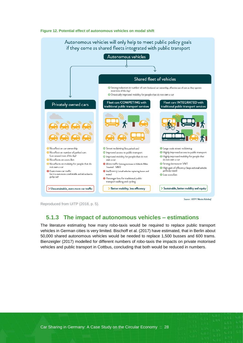

<span id="page-35-1"></span>

Reproduced from UITP (2018, p. 5).

### <span id="page-35-0"></span>**5.1.3 The impact of autonomous vehicles – estimations**

The literature estimating how many robo-taxis would be required to replace public transport vehicles in German cities is very limited. Bischoff et al. (2017) have estimated, that in Berlin about 50,000 shared autonomous vehicles would be needed to replace 1,500 busses and 600 trams. Bienzeigler (2017) modelled for different numbers of robo-taxis the impacts on private motorised vehicles and public transport in Cottbus, concluding that both would be reduced in numbers.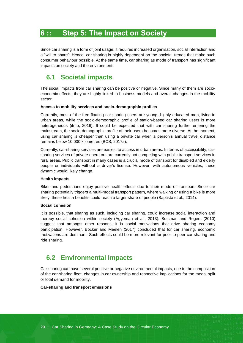# <span id="page-36-0"></span>**6 :: Step 5: The Impact on Society**

Since car sharing is a form of joint usage, it requires increased organisation, social interaction and a "will to share". Hence, car sharing is highly dependent on the societal trends that make such consumer behaviour possible. At the same time, car sharing as mode of transport has significant impacts on society and the environment.

# <span id="page-36-1"></span>**6.1 Societal impacts**

The social impacts from car sharing can be positive or negative. Since many of them are socioeconomic effects, they are highly linked to business models and overall changes in the mobility sector.

### **Access to mobility services and socio-demographic profiles**

Currently, most of the free-floating car-sharing users are young, highly educated men, living in urban areas, while the socio-demographic profile of station-based car sharing users is more heterogeneous (ifmo, 2016). It could be expected that with car sharing further entering the mainstream, the socio-demographic profile of their users becomes more diverse. At the moment, using car sharing is cheaper than using a private car when a person's annual travel distance remains below 10,000 kilometres (BCS, 2017a).

Currently, car-sharing services are easiest to access in urban areas. In terms of accessibility, carsharing services of private operators are currently not competing with public transport services in rural areas. Public transport in many cases is a crucial mode of transport for disabled and elderly people or individuals without a driver's license. However, with autonomous vehicles, these dynamic would likely change.

### **Health impacts**

Biker and pedestrians enjoy positive health effects due to their mode of transport. Since car sharing potentially triggers a multi-modal transport pattern, where walking or using a bike is more likely, these health benefits could reach a larger share of people (Baptista et al., 2014).

### **Social cohesion**

It is possible, that sharing as such, including car sharing, could increase social interaction and thereby social cohesion within society (Agyeman et al., 2013). Botsman and Rogers (2010) suggest that amongst other reasons, it is social motivations that drive sharing economy participation. However, Böcker and Meelen (2017) concluded that for car sharing, economic motivations are dominant. Such effects could be more relevant for peer-to-peer car sharing and ride sharing.

# <span id="page-36-2"></span>**6.2 Environmental impacts**

Car-sharing can have several positive or negative environmental impacts, due to the composition of the car-sharing fleet, changes in car ownership and respective implications for the modal split or total demand for mobility.

### **Car-sharing and transport emissions**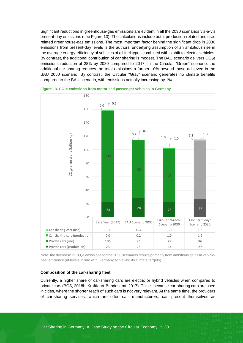Significant reductions in greenhouse-gas emissions are evident in all the 2030 scenarios vis-à-vis present-day emissions (see [Figure 13\)](#page-37-0). The calculations include both: production-related and userelated greenhouse-gas emissions. The most important factor behind the significant drop in 2030 emissions from present-day levels is the authors' underlying assumption of an ambitious rise in the average energy-efficiency of vehicles of all fuel types combined with a shift to electric vehicles. By contrast, the additional contribution of car sharing is modest. The BAU scenario delivers CO<sub>2</sub>e emissions reduction of 28% by 2030 compared to 2017. In the Circular "Green" scenario, the additional car sharing reduces the total emissions a further 10% beyond those achieved in the BAU 2030 scenario. By contrast, the Circular "Gray" scenario generates no climate benefits compared to the BAU scenario, with emissions actually increasing by 1%.



<span id="page-37-0"></span>**Figure 13. CO2e emissions from motorised passenger vehicles in Germany**

Note: the decrease in CO<sub>2</sub>e emissions for the 2030 scenarios results primarily from ambitious gains in vehiclefleet efficiency (at levels in line with Germany achieving its climate targets).

### **Composition of the car-sharing fleet**

Currently, a higher share of car-sharing cars are electric or hybrid vehicles when compared to private cars (BCS, 2018b; Kraftfahrt-Bundesamt, 2017). This is because car-sharing cars are used in cities, where the shorter reach of such cars is not very relevant. At the same time, the providers of car-sharing services, which are often car- manufacturers, can present themselves as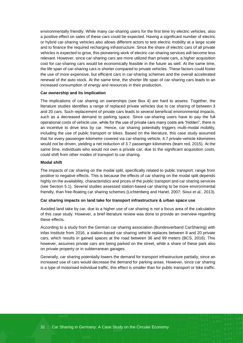environmentally friendly. While many car-sharing users for the first time try electric vehicles, also a positive effect on sales of these cars could be expected. Having a significant number of electric or hybrid car-sharing vehicles also allows different actors to test electric mobility at a large scale and to finance the required recharging infrastructure. Since the share of electric cars of all private vehicles is expected to grow, this pioneering work of electric car-sharing services will become less relevant. However, since car-sharing cars are more utilized than private cars, a higher acquisition cost for car-sharing cars would be economically feasible in the future as well. At the same time, the life span of car-sharing cars is shorter compared to private vehicles. These factors could foster the use of more expensive, but efficient cars in car-sharing schemes and the overall accelerated renewal of the auto stock. At the same time, the shorter life span of car-sharing cars leads to an increased consumption of energy and resources in their production.

### **Car ownership and its implication**

The implications of car sharing on ownerships (see [Box 4\)](#page-23-0) are hard to assess. Together, the literature studies identifies a range of replaced private vehicles due to car sharing of between 3 and 20 cars. Such replacement of private cars leads to several beneficial environmental impacts, such as a decreased demand to parking space. Since car-sharing users have to pay the full operational costs of vehicle use, while for the use of private cars many costs are "hidden", there is an incentive to drive less by car. Hence, car sharing potentially triggers multi-modal mobility, including the use of public transport or bikes. Based on the literature, this case study assumed that for every passenger-kilometre covered via car-sharing vehicle, 4.7 private-vehicle kilometres would not be driven, yielding a net reduction of 3.7 passenger-kilometres (team red, 2015). At the same time, individuals who would not own a private car, due to the significant acquisition costs, could shift from other modes of transport to car sharing.

### **Modal shift**

The impacts of car sharing on the modal split, specifically related to public transport, range from positive to negative effects. This is because the effects of car sharing on the modal split depends highly on the availability, characteristics and prices of the public transport and car sharing services (see Section 5.1). Several studies assessed station-based car sharing to be more environmental friendly, than free-floating car sharing schemes (Lichtenberg and Hanel, 2007; Sioui et al., 2013).

### **Car sharing impacts on land take for transport infrastructure & urban space use**

Avoided land take by car, due to a higher use of car sharing is not a focus area of the calculation of this case study. However, a brief literature review was done to provide an overview regarding these effects.

According to a study from the German car sharing association (Bundesverband CarSharing) with infas Institute from 2016, a station-based car sharing vehicle replaces between 8 and 20 private cars, which results in gained spaces at the road between 36 and 99 meters (BCS, 2016). This however, assumes private cars are being parked on the street, while a share of these park also on private property or in subterranean garages.

Generally, car sharing potentially lowers the demand for transport infrastructure partially, since an increased use of cars would decrease the demand for parking areas. However, since car sharing is a type of motorised individual traffic, this effect is smaller than for public transport or bike traffic.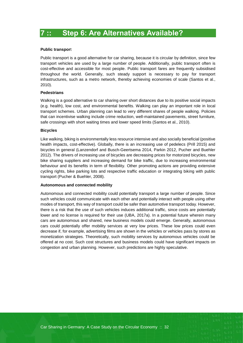### <span id="page-39-0"></span>**Public transpor**t

Public transport is a good alternative for car sharing, because it is circular by definition, since few transport vehicles are used by a large number of people. Additionally, public transport often is cost-effective and accessible for most people. Public transport fares are frequently subsidised throughout the world. Generally, such steady support is necessary to pay for transport infrastructures, such as a metro network, thereby achieving economies of scale (Santos et al., 2010).

### **Pedestrians**

Walking is a good alternative to car sharing over short distances due to its positive social impacts (e.g. health), low cost, and environmental benefits. Walking can play an important role in local transport schemes. Urban planning can lead to very different shares of people walking. Policies that can incentivise walking include crime reduction, well-maintained pavements, street furniture, safe crossings with short waiting times and lower speed limits (Santos et al., 2010).

### **Bicycles**

Like walking, biking is environmentally less resource intensive and also socially beneficial (positive health impacts, cost-effective). Globally, there is an increasing use of pedelecs (Prill 2015) and bicycles in general (Lanzendorf and Busch-Geertsema 2014, Parkin 2012, Pucher and Buehler 2012). The drivers of increasing use of bicycles are decreasing prices for motorized bicycles, new bike sharing suppliers and increasing demand for bike traffic, due to increasing environmental behaviour and its benefits in term of flexibility. Other promoting actions are providing extensive cycling rights, bike parking lots and respective traffic education or integrating biking with public transport (Pucher & Buehler, 2008).

### **Autonomous and connected mobility**

Autonomous and connected mobility could potentially transport a large number of people. Since such vehicles could communicate with each other and potentially interact with people using other modes of transport, this way of transport could be safer than automotive transport today. However, there is a risk that the use of such vehicles induces additional traffic, since costs are potentially lower and no license is required for their use (UBA, 2017a). In a potential future wherein many cars are autonomous and shared, new business models could emerge. Generally, autonomous cars could potentially offer mobility services at very low prices. These low prices could even decrease if, for example, advertising films are shown in the vehicles or vehicles pass by stores as monetization strategies. Theoretically, such mobility services by autonomous vehicles could be offered at no cost. Such cost structures and business models could have significant impacts on congestion and urban planning. However, such predictions are highly speculative.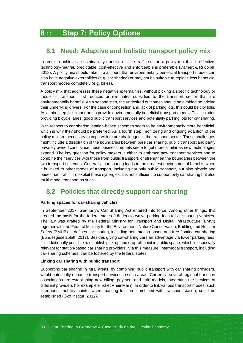# <span id="page-40-0"></span>**8 :: Step 7: Policy Options**

### <span id="page-40-1"></span>**8.1 Need: Adaptive and holistic transport policy mix**

In order to achieve a sustainability transition in the traffic sector, a policy mix that is effective, technology-neutral, predictable, cost-effective and enforceable is preferable (Damert & Rudolph, 2018). A policy mix should take into account that environmentally beneficial transport modes can also have negative externalities (e.g. car sharing) or may not be suitable to replace less beneficial transport modes completely (e.g. bikes).

A policy mix that addresses these negative externalities, without picking a specific technology or mode of transport, first reduces or eliminates subsidies to the transport sector that are environmentally harmful. As a second step, the undesired outcomes should be avoided be pricing their underlying drivers. For the case of congestion and lack of parking lots, this could be city tolls. As a third step, it is important to provide environmentally beneficial transport modes. This includes providing bicycle lanes, good public transport services and potentially parking lots for car sharing.

With respect to car sharing, station-based schemes seem to be environmentally more beneficial, which is why they should be preferred. As a fourth step, monitoring and ongoing adaption of the policy mix are necessary to cope with future challenges in the transport sector. These challenges might include a dissolution of the boundaries between pure car sharing, public transport and partly privately owned cars, since these business models seem to get more similar as new technologies expand. The key question for policy makers is either to embrace new transport services and to combine their services with those from public transport, or strengthen the boundaries between the two transport schemes. Generally, car sharing leads to the greatest environmental benefits when it is linked to other modes of transport, including not only public transport, but also bicycle and pedestrian traffic. To exploit these synergies, it is not sufficient to support only car sharing but also multi modal transport as such.

### <span id="page-40-2"></span>**8.2 Policies that directly support car sharing**

### **Parking spaces for car-sharing vehicles**

In September 2017, Germany's Car Sharing Act entered into force. Among other things, this created the basis for the federal states (Länder) to waive parking fees for car sharing vehicles. The law was drafted by the Federal Ministry for Transport and Digital Infrastructure (BMVI) together with the Federal Ministry for the Environment, Nature Conservation, Building and Nuclear Safety (BMUB). It defines car sharing, including both station-based and free-floating car sharing (Bundesgesetzblatt, 2017). Besides giving car-sharing cars an advantage via lower parking fees, it is additionally possible to establish pick-up and drop-off point in public space, which is especially relevant for station-based car sharing providers. Via this measure, intermodal transport, including car-sharing schemes, can be fostered by the federal states.

### **Linking car sharing with public transport**

Supporting car sharing in rural areas, by combining public transport with car sharing providers, would potentially enhance transport services in such areas. Currently, several regional transport associations are establishing new billing, payment and tariff models, integrating the services of different providers (for example eTicket RheinMain). In order to link various transport modes, such intermodal mobility points, where parking lots are combined with transport station, could be established (Öko Institut, 2012).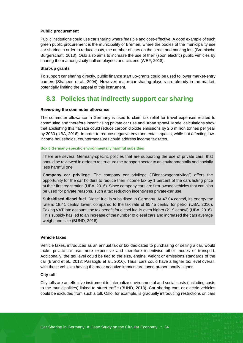### **Public procurement**

Public institutions could use car sharing where feasible and cost-effective. A good example of such green public procurement is the municipality of Bremen, where the bodies of the municipality use car sharing in order to reduce costs, the number of cars on the street and parking lots (Bremische Bürgerschaft, 2013). Oslo also aims to increase the use of their (soon electric) public vehicles by sharing them amongst city-hall employees and citizens (WEF, 2018).

### **Start-up grants**

To support car sharing directly, public finance start up-grants could be used to lower market-entry barriers (Shaheen et al., 2004). However, major car-sharing players are already in the market, potentially limiting the appeal of this instrument.

### <span id="page-41-0"></span>**8.3 Policies that indirectly support car sharing**

### **Reviewing the commuter allowance**

The commuter allowance in Germany is used to claim tax relief for travel expenses related to commuting and therefore incentivising private car use and urban sprawl. Model calculations show that abolishing this flat rate could reduce carbon dioxide emissions by 2.6 million tonnes per year by 2030 (UBA, 2016). In order to reduce negative environmental impacts, while not affecting lowincome households, countermeasures could address income tax rates.

#### **Box 6 Germany-specific environmentally harmful subsidies**

There are several Germany-specific policies that are supporting the use of private cars, that should be reviewed in order to restructure the transport sector to an environmentally and socially less harmful one.

**Company car privilege.** The company car privilege ("Dienstwagenprivileg") offers the opportunity for the car holders to reduce their income tax by 1 percent of the cars listing price at their first registration (UBA, 2016). Since company cars are firm-owned vehicles that can also be used for private reasons, such a tax reduction incentivises private-car use.

**Subsidised diesel fuel.** Diesel fuel is subsidised in Germany. At 47.04 cents/l, its energy tax rate is 18.41 cents/l lower, compared to the tax rate of 65.45 cents/l for petrol (UBA, 2016). Taking VAT into account, the tax benefit for diesel fuel is even higher (21.9 cents/l) (UBA, 2016). This subsidy has led to an increase of the number of diesel cars and increased the cars average weight and size (BUND, 2018).

### **Vehicle taxes**

Vehicle taxes, introduced as an annual tax or tax dedicated to purchasing or selling a car, would make private-car use more expensive and therefore incentivise other modes of transport. Additionally, the tax level could be tied to the size, engine, weight or emissions standards of the car (Brand et al., 2013; Pasaoglu et al., 2016). Thus, cars could have a higher tax level overall, with those vehicles having the most negative impacts are taxed proportionally higher.

### **City toll**

City tolls are an effective instrument to internalize environmental and social costs (including costs to the municipalities) linked to street traffic (BUND, 2018). Car sharing cars or electric vehicles could be excluded from such a toll. Oslo, for example, is gradually introducing restrictions on cars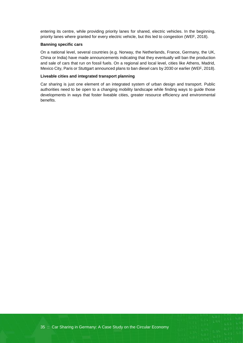entering its centre, while providing priority lanes for shared, electric vehicles. In the beginning, priority lanes where granted for every electric vehicle, but this led to congestion (WEF, 2018).

### **Banning specific cars**

On a national level, several countries (e.g. Norway, the Netherlands, France, Germany, the UK, China or India) have made announcements indicating that they eventually will ban the production and sale of cars that run on fossil fuels. On a regional and local level, cities like Athens, Madrid, Mexico City, Paris or Stuttgart announced plans to ban diesel cars by 2030 or earlier (WEF, 2018).

### **Liveable cities and integrated transport planning**

Car sharing is just one element of an integrated system of urban design and transport. Public authorities need to be open to a changing mobility landscape while finding ways to guide those developments in ways that foster liveable cities, greater resource efficiency and environmental benefits.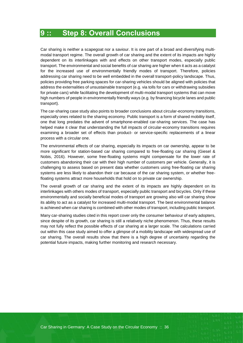# <span id="page-43-0"></span>**9 :: Step 8: Overall Conclusions**

Car sharing is neither a scapegoat nor a saviour. It is one part of a broad and diversifying multimodal transport regime. The overall growth of car sharing and the extent of its impacts are highly dependent on its interlinkages with and effects on other transport modes, especially public transport. The environmental and social benefits of car sharing are higher when it acts as a catalyst for the increased use of environmentally friendly modes of transport. Therefore, policies addressing car sharing need to be well embedded in the overall transport-policy landscape. Thus, policies providing free parking spaces for car-sharing vehicles should be aligned with policies that address the externalities of unsustainable transport (e.g. via tolls for cars or withdrawing subsidies for private cars) while facilitating the development of multi-modal transport systems that can move high numbers of people in environmentally friendly ways (e.g. by financing bicycle lanes and public transport).

The car-sharing case study also points to broader conclusions about circular-economy transitions, especially ones related to the sharing economy. Public transport is a form of shared mobility itself, one that long predates the advent of smartphone-enabled car-sharing services. The case has helped make it clear that understanding the full impacts of circular-economy transitions requires examining a broader set of effects than product- or service-specific replacements of a linear process with a circular one.

The environmental effects of car sharing, especially its impacts on car ownership, appear to be more significant for station-based car sharing compared to free-floating car sharing (Giesel & Nobis, 2016). However, some free-floating systems might compensate for the lower rate of customers abandoning their car with their high number of customers per vehicle. Generally, it is challenging to assess based on present data whether customers using free-floating car sharing systems are less likely to abandon their car because of the car sharing system, or whether freefloating systems attract more households that hold on to private car ownership.

The overall growth of car sharing and the extent of its impacts are highly dependent on its interlinkages with others modes of transport, especially public transport and bicycles. Only if these environmentally and socially beneficial modes of transport are growing also will car sharing show its ability to act as a catalyst for increased multi-modal transport. The best environmental balance is achieved when car sharing is combined with other modes of transport, including public transport.

Many car-sharing studies cited in this report cover only the consumer behaviour of early adopters, since despite of its growth, car sharing is still a relatively niche phenomenon. Thus, these results may not fully reflect the possible effects of car sharing at a larger scale. The calculations carried out within this case study aimed to offer a glimpse of a mobility landscape with widespread use of car sharing. The overall results show that there is a high degree of uncertainty regarding the potential future impacts, making further monitoring and research necessary.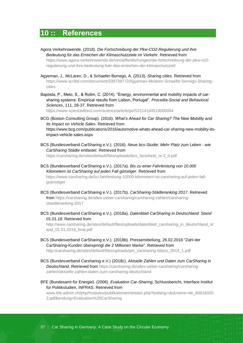# <span id="page-44-0"></span>**10 :: References**

- Agora Verkehrswende. (2018). *Die Fortschreibung der Pkw-CO2-Regulierung und ihre Bedeutung für das Erreichen der Klimaschutzziele im Verkehr*. Retrieved from [https://www.agora-verkehrswende.de/veroeffentlichungen/die-fortschreibung-der-pkw-co2](https://www.agora-verkehrswende.de/veroeffentlichungen/die-fortschreibung-der-pkw-co2-regulierung-und-ihre-bedeutung-fuer-das-erreichen-der-klimaschutzziel/) [regulierung-und-ihre-bedeutung-fuer-das-erreichen-der-klimaschutzziel/](https://www.agora-verkehrswende.de/veroeffentlichungen/die-fortschreibung-der-pkw-co2-regulierung-und-ihre-bedeutung-fuer-das-erreichen-der-klimaschutzziel/)
- Agyeman, J., McLaren, D., & Schaefer-Borrego, A. (2013). *Sharing cities*. Retrieved from [https://www.scribd.com/document/339738772/Agyeman-Mclaren-Schaefer-borrego-Sharing](https://www.scribd.com/document/339738772/Agyeman-Mclaren-Schaefer-borrego-Sharing-cities)[cities](https://www.scribd.com/document/339738772/Agyeman-Mclaren-Schaefer-borrego-Sharing-cities)
- Baptista, P., Melo, S., & Rolim, C. (2014). "Energy, environmental and mobility impacts of carsharing systems: Empirical results from Lisbon, Portugal". *Procedia-Social and Behavioral Sciences*, 111, 28-37. Retrieved from

<https://www.sciencedirect.com/science/article/pii/S2214140513000054>

- BCG (Boston Consulting Group). (2016). *What's Ahead for Car Sharing? The New Mobility and Its Impact on Vehicle Sales*. Retrieved from https://www.bcg.com/publications/2016/automotive-whats-ahead-car-sharing-new-mobility-itsimpact-vehicle-sales.aspx
- BCS (Bundesverband CarSharing e.V.). (2016). *Neue bcs-Studie: Mehr Platz zum Leben - wie CarSharing Städte entlastet*. Retrieved from

[https://carsharing.de/sites/default/files/uploads/bcs\\_factsheet\\_nr.2\\_0.pdf](https://carsharing.de/sites/default/files/uploads/bcs_factsheet_nr.2_0.pdf)

- BCS (Bundesverband CarSharing e.V.). (2017a). *Bis zu einer Fahrleistung von 10.000 Kilometern ist CarSharing auf jeden Fall günstiger*. Retrieved from [https://www.carsharing.de/zu-fahrleistung-10000-kilometern-ist-carsharing-auf-jeden-fall](https://www.carsharing.de/zu-fahrleistung-10000-kilometern-ist-carsharing-auf-jeden-fall-guenstiger)[guenstiger](https://www.carsharing.de/zu-fahrleistung-10000-kilometern-ist-carsharing-auf-jeden-fall-guenstiger)
- BCS (Bundesverband CarSharing e.V.). (2017b). *CarSharing-Städteranking 2017*. Retrieved from [https://carsharing.de/alles-ueber-carsharing/carsharing-zahlen/carsharing](https://carsharing.de/alles-ueber-carsharing/carsharing-zahlen/carsharing-staedteranking-2017)[staedteranking-2017](https://carsharing.de/alles-ueber-carsharing/carsharing-zahlen/carsharing-staedteranking-2017)
- BCS (Bundesverband CarSharing e.V.). (2018a). *Datenblatt CarSharing in Deutschland: Stand 01.01.18*. Retrieved from

[http://www.carsharing.de/sites/default/files/uploads/datenblatt\\_carsharing\\_in\\_deutschland\\_st](http://www.carsharing.de/sites/default/files/uploads/datenblatt_carsharing_in_deutschland_stand_01.01.2018_final.pdf) [and\\_01.01.2018\\_final.pdf](http://www.carsharing.de/sites/default/files/uploads/datenblatt_carsharing_in_deutschland_stand_01.01.2018_final.pdf)

BCS (Bundesverband CarSharing e.V.). (2018b). [Pressemitteilung, 26.02.2018 "Zahl der](https://carsharing.de/sites/default/files/uploads/pm_carsharing-bilanz_2018.pdf)  [CarSharing-Kunden überspringt die 2 Millionen Marke".](https://carsharing.de/sites/default/files/uploads/pm_carsharing-bilanz_2018.pdf) Retrieved from

[http://carsharing.de/sites/default/files/uploads/pm\\_carsharing-bilanz\\_2018\\_1.pdf](http://carsharing.de/sites/default/files/uploads/pm_carsharing-bilanz_2018_1.pdf)

- BCS (Bundesverband Carsharing e.V.) (2018c). *Aktuelle Zahlen und Daten zum CarSharing in Deutschland*. Retrieved from [https://carsharing.de/alles-ueber-carsharing/carsharing](https://carsharing.de/alles-ueber-carsharing/carsharing-zahlen/aktuelle-zahlen-daten-zum-carsharing-deutschland)[zahlen/aktuelle-zahlen-daten-zum-carsharing-deutschland](https://carsharing.de/alles-ueber-carsharing/carsharing-zahlen/aktuelle-zahlen-daten-zum-carsharing-deutschland)
- BFE (Bundesamt für Energie). (2006). *Evaluation Car-Sharing*, Schlussbericht, Interface Institut für Politikstudien, INFRAS. Retrieved from

[www.bfe.admin.ch/php/modules/publikationen/stream.php?extlang=de&name=de\\_60618320](http://www.bfe.admin.ch/php/modules/publikationen/stream.php?extlang=de&name=de_606183202.pdf&endung=Evaluation%20CarSharing) [2.pdf&endung=Evaluation%20CarSharing](http://www.bfe.admin.ch/php/modules/publikationen/stream.php?extlang=de&name=de_606183202.pdf&endung=Evaluation%20CarSharing)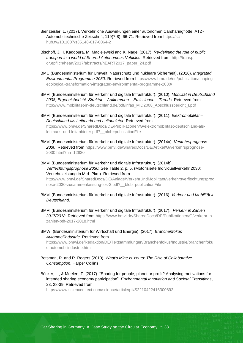- Bienzeisler, L. (2017). Verkehrliche Auswirkungen einer autonomen Carsharingflotte. ATZ-Automobiltechnische Zeitschrift, 119(7-8), 66-71. Retrieved from [https://sci](https://sci-hub.tw/10.1007/s35148-017-0064-2)[hub.tw/10.1007/s35148-017-0064-2](https://sci-hub.tw/10.1007/s35148-017-0064-2)
- Bischoff, J., I. Kaddoura, M. Maciejewski and K. Nagel (2017). *Re-defining the role of public transport in a world of Shared Autonomous Vehicles*. Retrieved from: [http://transp](http://transp-or.epfl.ch/heart/2017/abstracts/hEART2017_paper_24.pdf)[or.epfl.ch/heart/2017/abstracts/hEART2017\\_paper\\_24.pdf](http://transp-or.epfl.ch/heart/2017/abstracts/hEART2017_paper_24.pdf)
- BMU (Bundesministerium für Umwelt, Naturschutz und nukleare Sicherheit). (2016). *Integrated Environmental Programme 2030*. Retrieved from [https://www.bmu.de/en/publication/shaping](https://www.bmu.de/en/publication/shaping-ecological-transformation-integrated-environmental-programme-2030/)[ecological-transformation-integrated-environmental-programme-2030/](https://www.bmu.de/en/publication/shaping-ecological-transformation-integrated-environmental-programme-2030/)
- BMVI (Bundesministerium für Verkehr und digitale Infrastruktur). (2010). *Mobilität in Deutschland 2008, Ergebnisbericht, Struktur – Aufkommen – Emissionen – Trends*. Retrieved from [http://www.mobilitaet-in-deutschland.de/pdf/infas\\_MiD2008\\_Abschlussbericht\\_I.pdf](http://www.mobilitaet-in-deutschland.de/pdf/infas_MiD2008_Abschlussbericht_I.pdf)
- BMVI (Bundesministerium für Verkehr und digitale Infrastruktur). (2011). *Elektromobilität – Deutschland als Leitmarkt und Leitanbieter*. Retrieved from https://www.bmvi.de/SharedDocs/DE/Publikationen/G/elektromobilitaet-deutschland-alsleitmarkt-und-leitanbieter.pdf?\_\_blob=publicationFile
- BMVI (Bundesministerium für Verkehr und digitale Infrastruktur). (2014a). *Verkehrsprognose 2030*. Retrieved from https://www.bmvi.de/SharedDocs/DE/Artikel/G/verkehrsprognose-2030.html?nn=12830
- BMVI (Bundesministerium für Verkehr und digitale Infrastruktur). (2014b). *Verflechtungsprognose 2030.* See Table 2, p. 5. (Motorisierte Individuellverkehr 2030; Verkehrsleistung in Mrd. Pkm). Retrieved from

http://www.bmvi.de/SharedDocs/DE/Anlage/VerkehrUndMobilitaet/verkehrsverflechtungsprog nose-2030-zusammenfassung-los-3.pdf?\_\_blob=publicationFile

- BMVI (Bundesministerium für Verkehr und digitale Infrastruktur). (2016). *Verkehr und Mobilität in Deutschland*.
- BMVI (Bundesministerium für Verkehr und digitale Infrastruktur). (2017). *Verkehr in Zahlen 2017/2018*. Retrieved from [https://www.bmvi.de/SharedDocs/DE/Publikationen/G/verkehr-in](https://www.bmvi.de/SharedDocs/DE/Publikationen/G/verkehr-in-zahlen-pdf-2017-2018.html)[zahlen-pdf-2017-2018.html](https://www.bmvi.de/SharedDocs/DE/Publikationen/G/verkehr-in-zahlen-pdf-2017-2018.html)
- BMWI (Bundesministerium für Wirtschaft und Energie). (2017). *Branchenfokus Automobilindustrie*. Retrieved from

[https://www.bmwi.de/Redaktion/DE/Textsammlungen/Branchenfokus/Industrie/branchenfoku](https://www.bmwi.de/Redaktion/DE/Textsammlungen/Branchenfokus/Industrie/branchenfokus-automobilindustrie.html) [s-automobilindustrie.html](https://www.bmwi.de/Redaktion/DE/Textsammlungen/Branchenfokus/Industrie/branchenfokus-automobilindustrie.html)

- Botsman, R. and R. Rogers (2010). *What's Mine Is Yours: The Rise of Collaborative Consumption*. Harper Collins.
- Böcker, L., & Meelen, T. (2017). "Sharing for people, planet or profit? Analysing motivations for intended sharing economy participation". *Environmental Innovation and Societal Transitions*, 23, 28-39. Retrieved from

<https://www.sciencedirect.com/science/article/pii/S2210422416300892>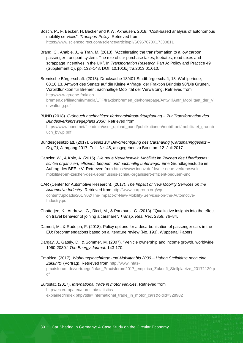- Bösch, P., F. Becker, H. Becker and K.W. Axhausen. 2018. "Cost-based analysis of autonomous mobility services". *Transport Policy*. Retrieved from
	- <https://www.sciencedirect.com/science/article/pii/S0967070X17300811>
- Brand, C., Anable, J., & Tran, M. (2013). "Accelerating the transformation to a low carbon passenger transport system. The role of car purchase taxes, feebates, road taxes and scrappage incentives in the UK". In *Transportation Research* Part A: Policy and Practice 49 (Supplement C), pp. 132–148. DOI: 10.1016/j.tra.2013.01.010.
- Bremische Bürgerschaft. (2013). Drucksache 18/401 Stadtbürgerschaft, 18. Wahlperiode, 08.10.13, Antwort des Senats auf die Kleine Anfrage der Fraktion Bündnis 90/Die Grünen, Vorbildfunktion für Bremen: nachhaltige Mobilität der Verwaltung. Retrieved from [http://www.gruene-fraktion-](http://www.gruene-fraktion-bremen.de/fileadmin/media/LTF/fraktionbremen_de/homepage/AntwKlAnfr_Mobilitaet_der_Verwaltung.pdf)

[bremen.de/fileadmin/media/LTF/fraktionbremen\\_de/homepage/AntwKlAnfr\\_Mobilitaet\\_der\\_V](http://www.gruene-fraktion-bremen.de/fileadmin/media/LTF/fraktionbremen_de/homepage/AntwKlAnfr_Mobilitaet_der_Verwaltung.pdf) [erwaltung.pdf](http://www.gruene-fraktion-bremen.de/fileadmin/media/LTF/fraktionbremen_de/homepage/AntwKlAnfr_Mobilitaet_der_Verwaltung.pdf)

BUND (2018). *Grünbuch nachhaltiger Verkehrsinfrastrukturplanung – Zur Transformation des Bundesverkehrswegeplans 2030*. Retrieved from

[https://www.bund.net/fileadmin/user\\_upload\\_bund/publikationen/mobilitaet/mobilitaet\\_gruenb](https://www.bund.net/fileadmin/user_upload_bund/publikationen/mobilitaet/mobilitaet_gruenbuch_bvwp.pdf) [uch\\_bvwp.pdf](https://www.bund.net/fileadmin/user_upload_bund/publikationen/mobilitaet/mobilitaet_gruenbuch_bvwp.pdf)

- Bundesgesetzblatt. (2017). *Gesetz zur Bevorrechtigung des Carsharing (Cardsharinggesetz – CsgG)*, Jahrgang 2017, Teil I Nr. 45, ausgegeben zu Bonn am 12. Juli 2017
- Canzler, W., & Knie, A. (2015). *Die neue Verkehrswelt. Mobilität im Zeichen des Überflusses: schlau organisiert, effizient, bequem und nachhaltig unterwegs.* Eine Grundlagenstudie im Auftrag des BEE e.V. Retrieved from [https://www.innoz.de/de/die-neue-verkehrswelt](https://www.innoz.de/de/die-neue-verkehrswelt-mobilitaet-im-zeichen-des-ueberflusses-schlau-organisiert-effizient-bequem-und)[mobilitaet-im-zeichen-des-ueberflusses-schlau-organisiert-effizient-bequem-und](https://www.innoz.de/de/die-neue-verkehrswelt-mobilitaet-im-zeichen-des-ueberflusses-schlau-organisiert-effizient-bequem-und)
- CAR (Center for Automotive Research). (2017). *The Impact of New Mobility Services on the Automotive Industry*. Retrieved from [http://www.cargroup.org/wp](http://www.cargroup.org/wp-content/uploads/2017/02/The-Impact-of-New-Mobility-Services-on-the-Automotive-Industry.pdf)[content/uploads/2017/02/The-Impact-of-New-Mobility-Services-on-the-Automotive-](http://www.cargroup.org/wp-content/uploads/2017/02/The-Impact-of-New-Mobility-Services-on-the-Automotive-Industry.pdf)[Industry.pdf](http://www.cargroup.org/wp-content/uploads/2017/02/The-Impact-of-New-Mobility-Services-on-the-Automotive-Industry.pdf)
- Chatterjee, K., Andrews, G., Ricci, M., & Parkhurst, G. (2013). "Qualitative insights into the effect on travel behavior of joining a carshare". *Transp. Res. Rec*. 2359, 76–84.
- Damert, M., & Rudolph, F. (2018). Policy options for a decarbonisation of passenger cars in the EU: Recommendations based on a literature review (No. 193). Wuppertal Papers.
- Dargay, J., Gately, D., & Sommer, M. (2007). "Vehicle ownership and income growth, worldwide: 1960-2030." *The Energy Journal*. 143-170.
- Empirica. (2017). *Wohnungsnachfrage und Mobilität bis 2030 – Haben Stellplätze noch eine Zukunft?* (Vortrag). Retrieved from [http://www.infas](http://www.infas-praxisforum.de/vortraege/infas_Praxisforum2017_empirica_Zukunft_Stellplaetze_20171120.pdf)[praxisforum.de/vortraege/infas\\_Praxisforum2017\\_empirica\\_Zukunft\\_Stellplaetze\\_20171120.p](http://www.infas-praxisforum.de/vortraege/infas_Praxisforum2017_empirica_Zukunft_Stellplaetze_20171120.pdf) [df](http://www.infas-praxisforum.de/vortraege/infas_Praxisforum2017_empirica_Zukunft_Stellplaetze_20171120.pdf)
- Eurostat. (2017). *International trade in motor vehicles*. Retrieved from [http://ec.europa.eu/eurostat/statistics](http://ec.europa.eu/eurostat/statistics-explained/index.php?title=International_trade_in_motor_cars&oldid=328982)[explained/index.php?title=International\\_trade\\_in\\_motor\\_cars&oldid=328982](http://ec.europa.eu/eurostat/statistics-explained/index.php?title=International_trade_in_motor_cars&oldid=328982)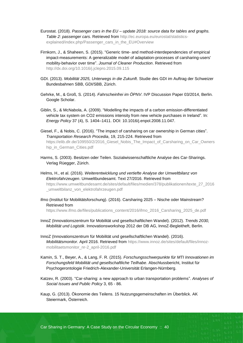- Eurostat. (2018). *Passenger cars in the EU – update 2018: source data for tables and graphs. Table 2: passenger cars*. Retrieved from [http://ec.europa.eu/eurostat/statistics](http://ec.europa.eu/eurostat/statistics-explained/index.php/Passenger_cars_in_the_EU#Overview)[explained/index.php/Passenger\\_cars\\_in\\_the\\_EU#Overview](http://ec.europa.eu/eurostat/statistics-explained/index.php/Passenger_cars_in_the_EU#Overview)
- Firnkorn, J., & Shaheen, S. (2015). "Generic time- and method-interdependencies of empirical impact-measurements: A generalizable model of adaptation-processes of carsharing-users' mobility-behavior over time". *Journal of Cleaner Production*. Retrieved from <http://dx.doi.org/10.1016/j.jclepro.2015.09.115>
- GDI. (2013). *Mobilität 2025, Unterwegs in die Zukunft*. Studie des GDI im Auftrag der Schweizer Bundesbahnen SBB, GDI/SBB, Zürich.
- Gehrke, M., & Groß, S. (2014). *Fahrscheinfrei im ÖPNV*. IVP Discussion Paper 03/2014, Berlin. Google Scholar.
- Giblin, S., & McNabola, A. (2009). "Modelling the impacts of a carbon emission-differentiated vehicle tax system on CO2 emissions intensity from new vehicle purchases in Ireland". In: *Energy Policy* 37 (4), S. 1404–1411. DOI: 10.1016/j.enpol.2008.11.047.
- Giesel, F., & Nobis, C. (2016). "The impact of carsharing on car ownership in German cities". *Transportation Research Procedia*, 19, 215-224. Retrieved from https://elib.dlr.de/109550/2/2016 Giesel Nobis The Impact of Carsharing on Car Owners

hip in German Cities.pdf

- Harms, S. (2003). Besitzen oder Teilen. Sozialwissenschaftliche Analyse des Car-Sharings. Verlag Rüegger, Zürich.
- Helms, H., et al. (2016). *Weiterentwicklung und vertiefte Analyse der Umweltbilanz von Elektrofahrzeugen*. Umweltbundesamt. Text 27/2016. Retrieved from [https://www.umweltbundesamt.de/sites/default/files/medien/378/publikationen/texte\\_27\\_2016](https://www.umweltbundesamt.de/sites/default/files/medien/378/publikationen/texte_27_2016_umweltbilanz_von_elektrofahrzeugen.pdf) [\\_umweltbilanz\\_von\\_elektrofahrzeugen.pdf](https://www.umweltbundesamt.de/sites/default/files/medien/378/publikationen/texte_27_2016_umweltbilanz_von_elektrofahrzeugen.pdf)
- ifmo (Institut für Mobilitätsforschung). (2016). Carsharing 2025 Nische oder Mainstream? Retrieved from

[https://www.ifmo.de/files/publications\\_content/2016/ifmo\\_2016\\_Carsharing\\_2025\\_de.pdf](https://www.ifmo.de/files/publications_content/2016/ifmo_2016_Carsharing_2025_de.pdf)

- InnoZ (Innovationszentrum für Mobilität und gesellschaftlichen Wandel). (2012). *Trends 2030, Mobilität und Logistik*. Innovationsworkshop 2012 der DB AG, InnoZ-Begleitheft, Berlin.
- InnoZ (Innovationszentrum für Mobilität und gesellschaftlichen Wandel). (2016). *Mobilitätsmonitor*. April 2016. Retrieved from [https://www.innoz.de/sites/default/files/innoz](https://www.innoz.de/sites/default/files/innoz-mobilitaetsmonitor_nr-2_april-2016.pdf)[mobilitaetsmonitor\\_nr-2\\_april-2016.pdf](https://www.innoz.de/sites/default/files/innoz-mobilitaetsmonitor_nr-2_april-2016.pdf)
- Kamin, S. T., Beyer, A., & Lang, F. R. (2015). *Forschungsschwerpunkte für MTI Innovationen im Forschungsfeld Mobilität und gesellschaftliche Teilhabe*. Abschlussbericht, Institut für Psychogerontologie Friedrich-Alexander-Universität Erlangen-Nürnberg.
- Katzev, R. (2003). "Car-sharing: a new approach to urban transportation problems". *Analyses of Social Issues and Public Policy* 3, 65 - 86.
- Kaup, G. (2013). Ökonomie des Teilens. 15 Nutzungsgemeinschaften im Überblick. AK Steiermark, Österreich.

Car Sharing in Germany: A Case Study on the Circular Economy :: 40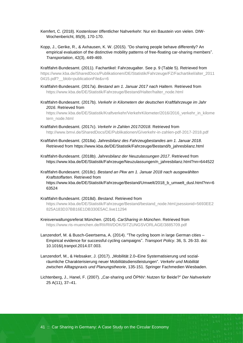Kemfert, C. (2018). Kostenloser öffentlicher Nahverkehr: Nur ein Baustein von vielen. DIW-Wochenbericht, 85(9), 170-170.

Kopp, J., Gerike, R., & Axhausen, K. W. (2015). "Do sharing people behave differently? An empirical evaluation of the distinctive mobility patterns of free-floating car-sharing members". *Transportation*, 42(3), 449-469.

Kraftfahrt-Bundesamt. (2011). Fachartikel: Fahrzeugalter. See p. 9 (Table 5). Retrieved from [https://www.kba.de/SharedDocs/Publikationen/DE/Statistik/Fahrzeuge/FZ/Fachartikel/alter\\_2011](https://www.kba.de/SharedDocs/Publikationen/DE/Statistik/Fahrzeuge/FZ/Fachartikel/alter_20110415.pdf?__blob=publicationFile&v=6) 0415.pdf? blob=publicationFile&v=6

Kraftfahrt-Bundesamt. (2017a). *Bestand am 1. Januar 2017 nach Haltern.* Retrieved from [https://www.kba.de/DE/Statistik/Fahrzeuge/Bestand/Halter/halter\\_node.html](https://www.kba.de/DE/Statistik/Fahrzeuge/Bestand/Halter/halter_node.html)

Kraftfahrt-Bundesamt. (2017b). *Verkehr in Kilometern der deutschen Kraftfahrzeuge im Jahr 2016*. Retrieved from

https://www.kba.de/DE/Statistik/Kraftverkehr/VerkehrKilometer/2016/2016\_verkehr\_in\_kilome tern\_node.html

- Kraftfahrt-Bundesamt. (2017c). *Verkehr in Zahlen 2017/2018*. Retrieved from <http://www.bmvi.de/SharedDocs/DE/Publikationen/G/verkehr-in-zahlen-pdf-2017-2018.pdf>
- Kraftfahrt-Bundesamt. (2018a). *Jahresbilanz des Fahrzeugbestandes am 1. Januar 2018*. Retrieved from [https://www.kba.de/DE/Statistik/Fahrzeuge/Bestand/b\\_jahresbilanz.html](https://www.kba.de/DE/Statistik/Fahrzeuge/Bestand/b_jahresbilanz.html)

Kraftfahrt-Bundesamt. (2018b). *Jahresbilanz der Neuzulassungen 2017*. Retrieved from [https://www.kba.de/DE/Statistik/Fahrzeuge/Neuzulassungen/n\\_jahresbilanz.html?nn=644522](https://www.kba.de/DE/Statistik/Fahrzeuge/Neuzulassungen/n_jahresbilanz.html?nn=644522)

Kraftfahrt-Bundesamt. (2018c). *Bestand an Pkw am 1. Januar 2018 nach ausgewählten Kraftstoffarten*. Retrieved from [https://www.kba.de/DE/Statistik/Fahrzeuge/Bestand/Umwelt/2018\\_b\\_umwelt\\_dusl.html?nn=6](https://www.kba.de/DE/Statistik/Fahrzeuge/Bestand/Umwelt/2018_b_umwelt_dusl.html?nn=663524) [63524](https://www.kba.de/DE/Statistik/Fahrzeuge/Bestand/Umwelt/2018_b_umwelt_dusl.html?nn=663524)

### Kraftfahrt-Bundesamt. (2018d). *Bestand*. Retrieved from [https://www.kba.de/DE/Statistik/Fahrzeuge/Bestand/bestand\\_node.html;jsessionid=5693EE2](https://www.kba.de/DE/Statistik/Fahrzeuge/Bestand/bestand_node.html;jsessionid=5693EE2825A183D37BB16E1DB330E5AC.live11294) [825A183D37BB16E1DB330E5AC.live11294](https://www.kba.de/DE/Statistik/Fahrzeuge/Bestand/bestand_node.html;jsessionid=5693EE2825A183D37BB16E1DB330E5AC.live11294)

- Kreisverwaltungsreferat München. (2014). *CarSharing in München*. Retrieved from <https://www.ris-muenchen.de/RII/RII/DOK/SITZUNGSVORLAGE/3885709.pdf>
- Lanzendorf, M. & Busch-Geertsema, A. (2014). "The cycling boom in large German cities Empirical evidence for successful cycling campaigns". *Transport Policy*. 36, S. 26-33. doi: 10.1016/j.tranpol.2014.07.003.
- Lanzendorf, M., & Hebsaker, J. (2017). "Mobilität 2.0–Eine Systematisierung und sozialräumliche Charakterisierung neuer Mobilitätsdienstleistungen". *Verkehr und Mobilität zwischen Alltagspraxis und Planungstheorie*, 135-151. Springer Fachmedien Wiesbaden.

Lichtenberg, J., Hanel, F. (2007). "Car-sharing und ÖPNV: Nutzen für Beide?" *Der Nahverkehr* 25 A(11), 37–41.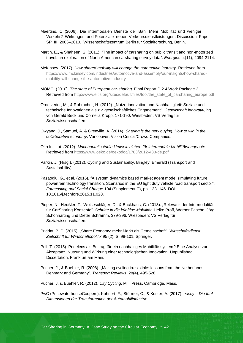- Maertins, C. (2006). Die intermodalen Dienste der Bah: Mehr Mobilität und weniger Verkehr? Wirkungen und Potenziale neuer Verkehrsdienstleistungen. Discussion Paper SP III 2006–2010. Wissenschaftszentrum Berlin für Sozialforschung, Berlin.
- Martin, E., & Shaheen, S. (2011). "The impact of carsharing on public transit and non-motorized travel: an exploration of North American carsharing survey data". *Energies*, 4(11), 2094-2114.
- McKinsey. (2017). *How shared mobility will change the automotive industry*. Retrieved from [https://www.mckinsey.com/industries/automotive-and-assembly/our-insights/how-shared](https://www.mckinsey.com/industries/automotive-and-assembly/our-insights/how-shared-mobility-will-change-the-automotive-industry)[mobility-will-change-the-automotive-industry](https://www.mckinsey.com/industries/automotive-and-assembly/our-insights/how-shared-mobility-will-change-the-automotive-industry)
- MOMO. (2010). *The state of European car-sharing*. Final Report D 2.4 Work Package 2. Retrieved from [http://www.eltis.org/sites/default/files/tool/the\\_state\\_of\\_carsharing\\_europe.pdf](http://www.eltis.org/sites/default/files/tool/the_state_of_carsharing_europe.pdf)
- Ornetzeder, M., & Rohracher, H. (2012). "Nutzerinnovation und Nachhaltigkeit: Soziale und technische Innovationen als zivilgesellschaftliches Engagement". *Gesellschaft innovativ*, hg. von Gerald Beck und Cornelia Kropp, 171-190. Wiesbaden: VS Verlag für Sozialwissenschaften.
- Owyang, J., Samuel, A. & Grenville, A. (2014). *Sharing is the new buying: How to win in the collaborative economy*. Vancouver: Vision Critical/Crowd Companies.
- Öko Institut. (2012). *Machbarkeitsstudie Umweltzeichen für intermodale Mobilitätsangebote*. Retrieved from <https://www.oeko.de/oekodoc/1783/2012-483-de.pdf>
- Parkin, J. (Hrsg.). (2012). Cycling and Sustainability. Bingley: Emerald (Transport and Sustainability).
- Pasaoglu, G., et al. (2016). "A system dynamics based market agent model simulating future powertrain technology transition. Scenarios in the EU light duty vehicle road transport sector". *Forecasting and Social Change* 104 (Supplement C), pp. 133–146. DOI: 10.1016/j.techfore.2015.11.028.
- Pieper, N., Heußler, T., Woiseschläger, D., & Backhaus, C. (2013). "Relevanz der Intermodalität für CarSharing-Konzepte". *Schritte in die künftige Mobilität*. Heike Proff, Werner Pascha, Jörg Schönharting und Dieter Schramm, 379-396. Wiesbaden: VS Verlag für Sozialwissenschaften.
- Priddat, B. P. (2015). "Share Economy: mehr Markt als Gemeinschaft". *Wirtschaftsdienst: Zeitschrift für Wirtschaftspolitik*,95 (2), S. 98-101, Springer.
- Prill, T. (2015). Pedelecs als Beitrag für ein nachhaltiges Mobilitätssystem? Eine Analyse zur Akzeptanz, Nutzung und Wirkung einer technologischen Innovation. Unpublished Dissertation, Frankfurt am Main.
- Pucher, J., & Buehler, R. (2008). "Making cycling irresistible: lessons from the Netherlands, Denmark and Germany". *Transport Reviews*, 28(4), 495-528.
- Pucher, J. & Buehler, R. (2012). *City Cycling*. MIT Press, Cambridge, Mass.
- PwC (PricewaterhouseCoopers), Kuhnert, F., Stürmer, C., & Koster, A. (2017). *eascy – Die fünf Dimensionen der Transformation der Automobilindustrie*.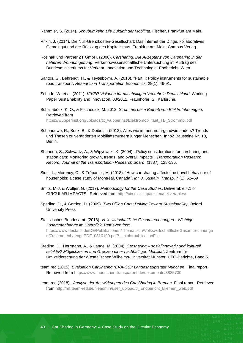Rammler, S. (2014). *Schubumkehr. Die Zukunft der Mobilität*. Fischer, Frankfurt am Main.

- Rifkin, J. (2014). Die Null-Grenzkosten-Gesellschaft: Das Internet der Dinge, kollaboratives Gemeingut und der Rückzug des Kapitalismus. Frankfurt am Main: Campus Verlag.
- Rosinak und Partner ZT GmbH. (2000). *Carsharing. Die Akzeptanz von Carsharing in der näheren Wohnumgebung*. Verkehrswissenschaftliche Untersuchung im Auftrag des Bundesministeriums für Verkehr, Innovation und Technologie. Endbericht, Wien.
- Santos, G., Behrendt, H., & Teytelboym, A. (2010). "Part II: Policy instruments for sustainable road transport". *Research in Transportation Economics*, 28(1), 46-91.
- Schade, W. et al. (2011). *VIVER Visionen für nachhaltigen Verkehr in Deutschland*. Working Paper Sustainability and Innovation, 03/2011, Fraunhofer ISI, Karlsruhe.
- Schallaböck, K. O., & Fischedick, M. 2012. *Strommix beim Betrieb von Elektrofahrzeugen*. Retrieved from [https://wupperinst.org/uploads/tx\\_wupperinst/Elektromobilitaet\\_TB\\_Strommix.pdf](https://wupperinst.org/uploads/tx_wupperinst/Elektromobilitaet_TB_Strommix.pdf)
- Schönduwe, R., Bock, B., & Deibel, I. (2012). Alles wie immer, nur irgendwie anders? Trends und Thesen zu veränderten Mobilitätsmustern junger Menschen. InnoZ Bausteine Nr. 10,

Berlin.

- Shaheen, S., Schwartz, A., & Wipyewski, K. (2004). "Policy considerations for carsharing and station cars: Monitoring growth, trends, and overall impacts". *Transportation Research Record: Journal of the Transportation Research Board*, (1887), 128-136.
- Sioui, L., Morency, C., & Trépanier, M. (2013). "How car-sharing affects the travel behaviour of households: a case study of Montréal, Canada". *Int. J. Sustain. Transp*. 7 (1), 52–69
- Smits, M-J. & Woltjer, G. (2017). *Methodology for the Case Studies*. Deliverable 4.1 of CIRCULAR IMPACTS. Retrieved from <http://circular-impacts.eu/deliverables/>
- Sperling, D., & Gordon, D. (2009). *Two Billion Cars: Driving Toward Sustainabilit*y. Oxford University Press
- Statistisches Bundesamt. (2018). *Volkswirtschaftliche Gesamtrechnungen - Wichtige Zusammenhänge im Überblick*. Retrieved from [https://www.destatis.de/DE/Publikationen/Thematisch/VolkswirtschaftlicheGesamtrechnunge](https://www.destatis.de/DE/Publikationen/Thematisch/VolkswirtschaftlicheGesamtrechnungen/ZusammenhaengePDF_0310100.pdf?__blob=publicationFile) [n/ZusammenhaengePDF\\_0310100.pdf?\\_\\_blob=publicationFile](https://www.destatis.de/DE/Publikationen/Thematisch/VolkswirtschaftlicheGesamtrechnungen/ZusammenhaengePDF_0310100.pdf?__blob=publicationFile)
- Steding, D., Herrmann, A., & Lange, M. (2004). *Carsharing – sozialinnovativ und kulturell selektiv? Möglichkeiten und Grenzen einer nachhaltigen Mobilität*. Zentrum für Umweltforschung der Westfälischen Wilhelms-Universität Münster, UFO-Berichte, Band 5.
- team red (2015). *Evaluation CarSharing (EVA-CS): Landeshauptstadt München*. Final report. Retrieved from<https://www.muenchen-transparent.de/dokumente/3885730>
- team red (2018). *Analyse der Auswirkungen des Car-Sharing in Bremen*. Final report. Retrieved from [http://mf.team-red.de/fileadmin/user\\_upload/tr\\_Endbericht\\_Bremen\\_web.pdf](http://mf.team-red.de/fileadmin/user_upload/tr_Endbericht_Bremen_web.pdf)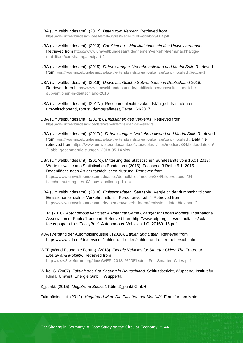- UBA (Umweltbundesamt). (2012). *Daten zum Verkehr*. Retrieved from
	- <https://www.umweltbundesamt.de/sites/default/files/medien/publikation/long/4364.pdf>
- UBA (Umweltbundesamt). (2013). *Car-Sharing – Mobilitätsbaustein des Umweltverbundes*. Retrieved from [https://www.umweltbundesamt.de/themen/verkehr-laerm/nachhaltige](https://www.umweltbundesamt.de/themen/verkehr-laerm/nachhaltige-mobilitaet/car-sharing#textpart-2)[mobilitaet/car-sharing#textpart-2](https://www.umweltbundesamt.de/themen/verkehr-laerm/nachhaltige-mobilitaet/car-sharing#textpart-2)
- UBA (Umweltbundesamt). (2015). *Fahrleistungen, Verkehrsaufwand und Modal Split*. Retrieved from https://www.umweltbundesamt.de/daten/verkehr/fahrleistungen-verkehrsaufwand-modal-split#textpart-3
- UBA (Umweltbundesamt). (2016). *Umweltschädliche Subventionen in Deutschland 2016*. Retrieved from [https://www.umweltbundesamt.de/publikationen/umweltschaedliche](https://www.umweltbundesamt.de/publikationen/umweltschaedliche-subventionen-in-deutschland-2016)[subventionen-in-deutschland-2016](https://www.umweltbundesamt.de/publikationen/umweltschaedliche-subventionen-in-deutschland-2016)
- UBA (Umweltbundesamt). (2017a). Ressourcenleichte zukunftsfähige Infrastrukturen umweltschonend, robust, demografiefest, Texte | 64/2017.
- UBA (Umweltbundesamt). (2017b). *Emissionen des Verkehrs*. Retrieved from <https://www.umweltbundesamt.de/daten/verkehr/emissionen-des-verkehrs>
- UBA (Umweltbundesamt). (2017c). *Fahrleistungen, Verkehrsaufwand und Modal Split*. Retrieved from <https://www.umweltbundesamt.de/daten/verkehr/fahrleistungen-verkehrsaufwand-modal-split>. Data file retrieved from [https://www.umweltbundesamt.de/sites/default/files/medien/384/bilder/dateien/](https://www.umweltbundesamt.de/sites/default/files/medien/384/bilder/dateien/%202_abb_gesamtfahrleistungen_2018-05-14.xlsx) [2\\_abb\\_gesamtfahrleistungen\\_2018-05-14.xlsx](https://www.umweltbundesamt.de/sites/default/files/medien/384/bilder/dateien/%202_abb_gesamtfahrleistungen_2018-05-14.xlsx)
- UBA (Umweltbundesamt). (2017d). Mitteilung des Statistischen Bundesamts vom 16.01.2017; Werte teilweise aus Statistisches Bundesamt (2016). Fachserie 3 Reihe 5.1. 2015. Bodenfläche nach Art der tatsächlichen Nutzung. Retrieved from [https://www.umweltbundesamt.de/sites/default/files/medien/384/bilder/dateien/04](https://www.umweltbundesamt.de/sites/default/files/medien/384/bilder/dateien/04-flaechennutzung_terr-03_suv_abbildung_1.xlsx) flaechennutzung terr-03 suv abbildung 1.xlsx
- UBA (Umweltbundesamt). (2018). *Emissionsdaten*. See table "Vergleich der durchschnittlichen Emissionen einzelner Verkehrsmittel im Personenverkehr". Retrieved from <https://www.umweltbundesamt.de/themen/verkehr-laerm/emissionsdaten#textpart-2>
- UITP. (2018). *Autonomous vehicles: A Potential Game Changer for Urban Mobility*. International Association of Public Transport. Retrieved from [http://www.uitp.org/sites/default/files/cck](http://www.uitp.org/sites/default/files/cck-focus-papers-files/PolicyBrief_Autonomous_Vehicles_LQ_20160116.pdf)[focus-papers-files/PolicyBrief\\_Autonomous\\_Vehicles\\_LQ\\_20160116.pdf](http://www.uitp.org/sites/default/files/cck-focus-papers-files/PolicyBrief_Autonomous_Vehicles_LQ_20160116.pdf)
- VDA (Verband der Automobilindustrie). (2018). *Zahlen und Daten*. Retrieved from https://www.vda.de/de/services/zahlen-und-daten/zahlen-und-daten-uebersicht.html
- WEF (World Economic Forum). (2018). *Electric Vehicles for Smarter Cities: The Future of Energy and Mobility*. Retrieved from [http://www3.weforum.org/docs/WEF\\_2018\\_%20Electric\\_For\\_Smarter\\_Cities.pdf](http://www3.weforum.org/docs/WEF_2018_%20Electric_For_Smarter_Cities.pdf)
- Wilke, G. (2007). *Zukunft des Car-Sharing in Deutschland*. Schlussbericht, Wuppertal Institut fur Klima, Umwelt, Energie GmbH, Wuppertal.
- Z\_punkt. (2015). *Megatrend Booklet*. Köln: Z\_punkt GmbH.

Zukunftsinstitut. (2012). *Megatrend-Map: Die Facetten der Mobilität*. Frankfurt am Main.

Car Sharing in Germany: A Case Study on the Circular Economy :: 44